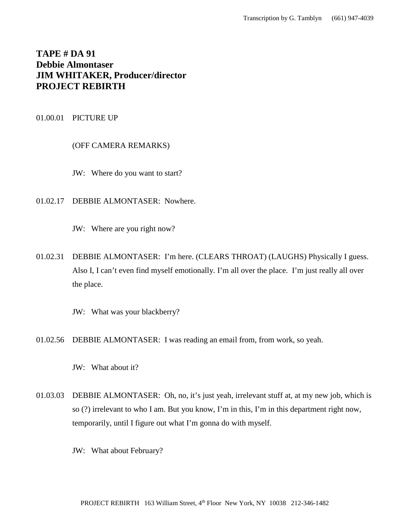# **TAPE # DA 91 Debbie Almontaser JIM WHITAKER, Producer/director PROJECT REBIRTH**

# 01.00.01 PICTURE UP

# (OFF CAMERA REMARKS)

- JW: Where do you want to start?
- 01.02.17 DEBBIE ALMONTASER: Nowhere.
	- JW: Where are you right now?
- 01.02.31 DEBBIE ALMONTASER: I'm here. (CLEARS THROAT) (LAUGHS) Physically I guess. Also I, I can't even find myself emotionally. I'm all over the place. I'm just really all over the place.
	- JW: What was your blackberry?
- 01.02.56 DEBBIE ALMONTASER: I was reading an email from, from work, so yeah.
	- JW: What about it?
- 01.03.03 DEBBIE ALMONTASER: Oh, no, it's just yeah, irrelevant stuff at, at my new job, which is so (?) irrelevant to who I am. But you know, I'm in this, I'm in this department right now, temporarily, until I figure out what I'm gonna do with myself.
	- JW: What about February?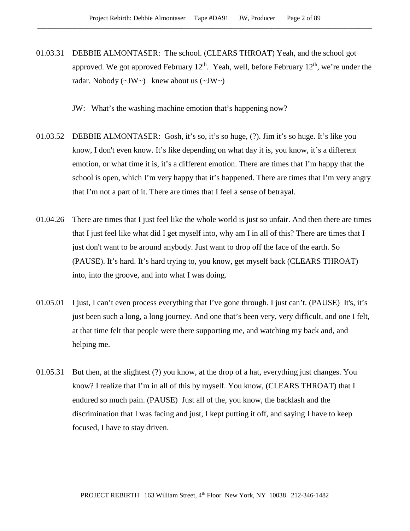01.03.31 DEBBIE ALMONTASER: The school. (CLEARS THROAT) Yeah, and the school got approved. We got approved February  $12<sup>th</sup>$ . Yeah, well, before February  $12<sup>th</sup>$ , we're under the radar. Nobody  $(\sim JW \sim)$  knew about us  $(\sim JW \sim)$ 

JW: What's the washing machine emotion that's happening now?

- 01.03.52 DEBBIE ALMONTASER: Gosh, it's so, it's so huge, (?). Jim it's so huge. It's like you know, I don't even know. It's like depending on what day it is, you know, it's a different emotion, or what time it is, it's a different emotion. There are times that I'm happy that the school is open, which I'm very happy that it's happened. There are times that I'm very angry that I'm not a part of it. There are times that I feel a sense of betrayal.
- 01.04.26 There are times that I just feel like the whole world is just so unfair. And then there are times that I just feel like what did I get myself into, why am I in all of this? There are times that I just don't want to be around anybody. Just want to drop off the face of the earth. So (PAUSE). It's hard. It's hard trying to, you know, get myself back (CLEARS THROAT) into, into the groove, and into what I was doing.
- 01.05.01 I just, I can't even process everything that I've gone through. I just can't. (PAUSE) It's, it's just been such a long, a long journey. And one that's been very, very difficult, and one I felt, at that time felt that people were there supporting me, and watching my back and, and helping me.
- 01.05.31 But then, at the slightest (?) you know, at the drop of a hat, everything just changes. You know? I realize that I'm in all of this by myself. You know, (CLEARS THROAT) that I endured so much pain. (PAUSE) Just all of the, you know, the backlash and the discrimination that I was facing and just, I kept putting it off, and saying I have to keep focused, I have to stay driven.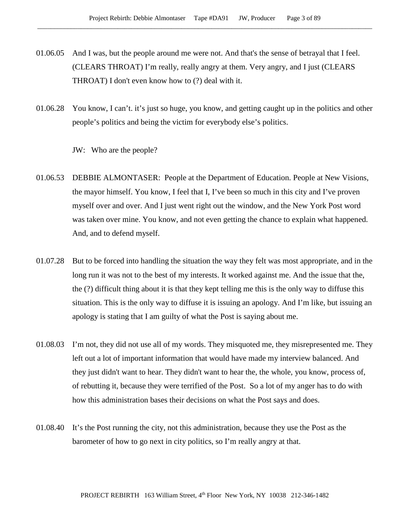- 01.06.05 And I was, but the people around me were not. And that's the sense of betrayal that I feel. (CLEARS THROAT) I'm really, really angry at them. Very angry, and I just (CLEARS THROAT) I don't even know how to (?) deal with it.
- 01.06.28 You know, I can't. it's just so huge, you know, and getting caught up in the politics and other people's politics and being the victim for everybody else's politics.

JW: Who are the people?

- 01.06.53 DEBBIE ALMONTASER: People at the Department of Education. People at New Visions, the mayor himself. You know, I feel that I, I've been so much in this city and I've proven myself over and over. And I just went right out the window, and the New York Post word was taken over mine. You know, and not even getting the chance to explain what happened. And, and to defend myself.
- 01.07.28 But to be forced into handling the situation the way they felt was most appropriate, and in the long run it was not to the best of my interests. It worked against me. And the issue that the, the (?) difficult thing about it is that they kept telling me this is the only way to diffuse this situation. This is the only way to diffuse it is issuing an apology. And I'm like, but issuing an apology is stating that I am guilty of what the Post is saying about me.
- 01.08.03 I'm not, they did not use all of my words. They misquoted me, they misrepresented me. They left out a lot of important information that would have made my interview balanced. And they just didn't want to hear. They didn't want to hear the, the whole, you know, process of, of rebutting it, because they were terrified of the Post. So a lot of my anger has to do with how this administration bases their decisions on what the Post says and does.
- 01.08.40 It's the Post running the city, not this administration, because they use the Post as the barometer of how to go next in city politics, so I'm really angry at that.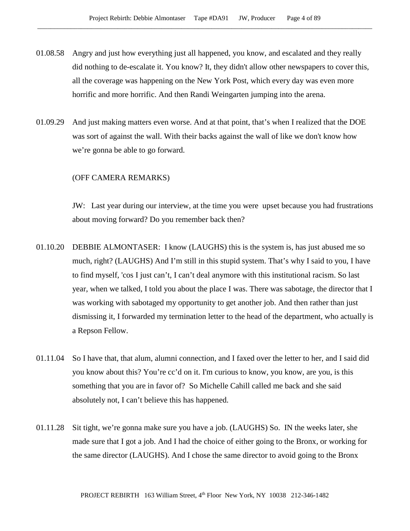- 01.08.58 Angry and just how everything just all happened, you know, and escalated and they really did nothing to de-escalate it. You know? It, they didn't allow other newspapers to cover this, all the coverage was happening on the New York Post, which every day was even more horrific and more horrific. And then Randi Weingarten jumping into the arena.
- 01.09.29 And just making matters even worse. And at that point, that's when I realized that the DOE was sort of against the wall. With their backs against the wall of like we don't know how we're gonna be able to go forward.

### (OFF CAMERA REMARKS)

JW: Last year during our interview, at the time you were upset because you had frustrations about moving forward? Do you remember back then?

- 01.10.20 DEBBIE ALMONTASER: I know (LAUGHS) this is the system is, has just abused me so much, right? (LAUGHS) And I'm still in this stupid system. That's why I said to you, I have to find myself, 'cos I just can't, I can't deal anymore with this institutional racism. So last year, when we talked, I told you about the place I was. There was sabotage, the director that I was working with sabotaged my opportunity to get another job. And then rather than just dismissing it, I forwarded my termination letter to the head of the department, who actually is a Repson Fellow.
- 01.11.04 So I have that, that alum, alumni connection, and I faxed over the letter to her, and I said did you know about this? You're cc'd on it. I'm curious to know, you know, are you, is this something that you are in favor of? So Michelle Cahill called me back and she said absolutely not, I can't believe this has happened.
- 01.11.28 Sit tight, we're gonna make sure you have a job. (LAUGHS) So. IN the weeks later, she made sure that I got a job. And I had the choice of either going to the Bronx, or working for the same director (LAUGHS). And I chose the same director to avoid going to the Bronx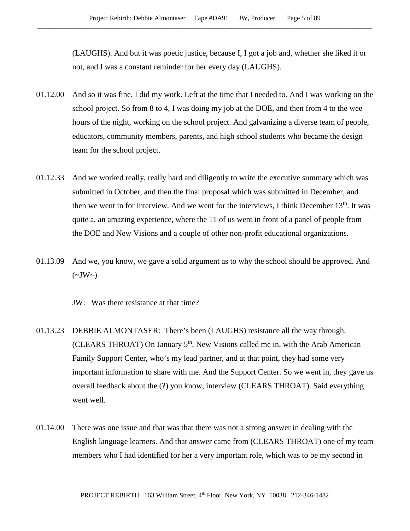(LAUGHS). And but it was poetic justice, because I, I got a job and, whether she liked it or not, and I was a constant reminder for her every day (LAUGHS).

- 01.12.00 And so it was fine. I did my work. Left at the time that I needed to. And I was working on the school project. So from 8 to 4, I was doing my job at the DOE, and then from 4 to the wee hours of the night, working on the school project. And galvanizing a diverse team of people, educators, community members, parents, and high school students who became the design team for the school project.
- 01.12.33 And we worked really, really hard and diligently to write the executive summary which was submitted in October, and then the final proposal which was submitted in December, and then we went in for interview. And we went for the interviews, I think December  $13<sup>th</sup>$ . It was quite a, an amazing experience, where the 11 of us went in front of a panel of people from the DOE and New Visions and a couple of other non-profit educational organizations.
- 01.13.09 And we, you know, we gave a solid argument as to why the school should be approved. And  $(\sim JW \sim)$

JW: Was there resistance at that time?

- 01.13.23 DEBBIE ALMONTASER: There's been (LAUGHS) resistance all the way through. (CLEARS THROAT) On January  $5<sup>th</sup>$ , New Visions called me in, with the Arab American Family Support Center, who's my lead partner, and at that point, they had some very important information to share with me. And the Support Center. So we went in, they gave us overall feedback about the (?) you know, interview (CLEARS THROAT). Said everything went well.
- 01.14.00 There was one issue and that was that there was not a strong answer in dealing with the English language learners. And that answer came from (CLEARS THROAT) one of my team members who I had identified for her a very important role, which was to be my second in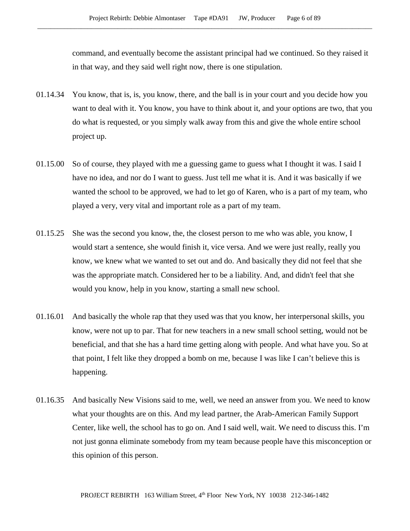command, and eventually become the assistant principal had we continued. So they raised it in that way, and they said well right now, there is one stipulation.

- 01.14.34 You know, that is, is, you know, there, and the ball is in your court and you decide how you want to deal with it. You know, you have to think about it, and your options are two, that you do what is requested, or you simply walk away from this and give the whole entire school project up.
- 01.15.00 So of course, they played with me a guessing game to guess what I thought it was. I said I have no idea, and nor do I want to guess. Just tell me what it is. And it was basically if we wanted the school to be approved, we had to let go of Karen, who is a part of my team, who played a very, very vital and important role as a part of my team.
- 01.15.25 She was the second you know, the, the closest person to me who was able, you know, I would start a sentence, she would finish it, vice versa. And we were just really, really you know, we knew what we wanted to set out and do. And basically they did not feel that she was the appropriate match. Considered her to be a liability. And, and didn't feel that she would you know, help in you know, starting a small new school.
- 01.16.01 And basically the whole rap that they used was that you know, her interpersonal skills, you know, were not up to par. That for new teachers in a new small school setting, would not be beneficial, and that she has a hard time getting along with people. And what have you. So at that point, I felt like they dropped a bomb on me, because I was like I can't believe this is happening.
- 01.16.35 And basically New Visions said to me, well, we need an answer from you. We need to know what your thoughts are on this. And my lead partner, the Arab-American Family Support Center, like well, the school has to go on. And I said well, wait. We need to discuss this. I'm not just gonna eliminate somebody from my team because people have this misconception or this opinion of this person.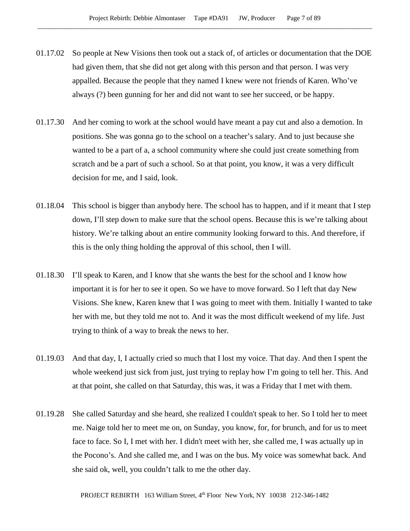- 01.17.02 So people at New Visions then took out a stack of, of articles or documentation that the DOE had given them, that she did not get along with this person and that person. I was very appalled. Because the people that they named I knew were not friends of Karen. Who've always (?) been gunning for her and did not want to see her succeed, or be happy.
- 01.17.30 And her coming to work at the school would have meant a pay cut and also a demotion. In positions. She was gonna go to the school on a teacher's salary. And to just because she wanted to be a part of a, a school community where she could just create something from scratch and be a part of such a school. So at that point, you know, it was a very difficult decision for me, and I said, look.
- 01.18.04 This school is bigger than anybody here. The school has to happen, and if it meant that I step down, I'll step down to make sure that the school opens. Because this is we're talking about history. We're talking about an entire community looking forward to this. And therefore, if this is the only thing holding the approval of this school, then I will.
- 01.18.30 I'll speak to Karen, and I know that she wants the best for the school and I know how important it is for her to see it open. So we have to move forward. So I left that day New Visions. She knew, Karen knew that I was going to meet with them. Initially I wanted to take her with me, but they told me not to. And it was the most difficult weekend of my life. Just trying to think of a way to break the news to her.
- 01.19.03 And that day, I, I actually cried so much that I lost my voice. That day. And then I spent the whole weekend just sick from just, just trying to replay how I'm going to tell her. This. And at that point, she called on that Saturday, this was, it was a Friday that I met with them.
- 01.19.28 She called Saturday and she heard, she realized I couldn't speak to her. So I told her to meet me. Naige told her to meet me on, on Sunday, you know, for, for brunch, and for us to meet face to face. So I, I met with her. I didn't meet with her, she called me, I was actually up in the Pocono's. And she called me, and I was on the bus. My voice was somewhat back. And she said ok, well, you couldn't talk to me the other day.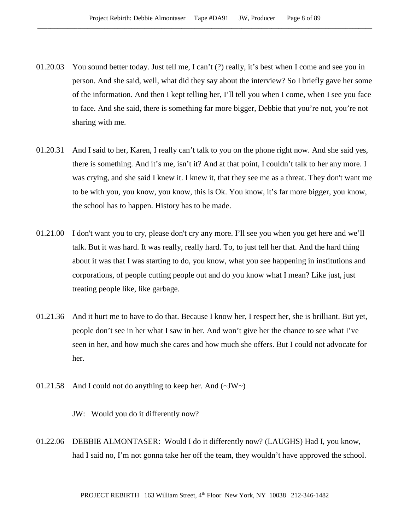- 01.20.03 You sound better today. Just tell me, I can't (?) really, it's best when I come and see you in person. And she said, well, what did they say about the interview? So I briefly gave her some of the information. And then I kept telling her, I'll tell you when I come, when I see you face to face. And she said, there is something far more bigger, Debbie that you're not, you're not sharing with me.
- 01.20.31 And I said to her, Karen, I really can't talk to you on the phone right now. And she said yes, there is something. And it's me, isn't it? And at that point, I couldn't talk to her any more. I was crying, and she said I knew it. I knew it, that they see me as a threat. They don't want me to be with you, you know, you know, this is Ok. You know, it's far more bigger, you know, the school has to happen. History has to be made.
- 01.21.00 I don't want you to cry, please don't cry any more. I'll see you when you get here and we'll talk. But it was hard. It was really, really hard. To, to just tell her that. And the hard thing about it was that I was starting to do, you know, what you see happening in institutions and corporations, of people cutting people out and do you know what I mean? Like just, just treating people like, like garbage.
- 01.21.36 And it hurt me to have to do that. Because I know her, I respect her, she is brilliant. But yet, people don't see in her what I saw in her. And won't give her the chance to see what I've seen in her, and how much she cares and how much she offers. But I could not advocate for her.
- 01.21.58 And I could not do anything to keep her. And  $(\sim JW)$

JW: Would you do it differently now?

01.22.06 DEBBIE ALMONTASER: Would I do it differently now? (LAUGHS) Had I, you know, had I said no, I'm not gonna take her off the team, they wouldn't have approved the school.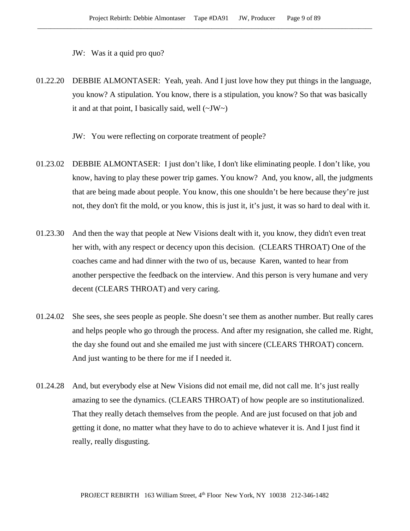JW: Was it a quid pro quo?

01.22.20 DEBBIE ALMONTASER: Yeah, yeah. And I just love how they put things in the language, you know? A stipulation. You know, there is a stipulation, you know? So that was basically it and at that point, I basically said, well  $(\sim JW \sim)$ 

JW: You were reflecting on corporate treatment of people?

- 01.23.02 DEBBIE ALMONTASER: I just don't like, I don't like eliminating people. I don't like, you know, having to play these power trip games. You know? And, you know, all, the judgments that are being made about people. You know, this one shouldn't be here because they're just not, they don't fit the mold, or you know, this is just it, it's just, it was so hard to deal with it.
- 01.23.30 And then the way that people at New Visions dealt with it, you know, they didn't even treat her with, with any respect or decency upon this decision. (CLEARS THROAT) One of the coaches came and had dinner with the two of us, because Karen, wanted to hear from another perspective the feedback on the interview. And this person is very humane and very decent (CLEARS THROAT) and very caring.
- 01.24.02 She sees, she sees people as people. She doesn't see them as another number. But really cares and helps people who go through the process. And after my resignation, she called me. Right, the day she found out and she emailed me just with sincere (CLEARS THROAT) concern. And just wanting to be there for me if I needed it.
- 01.24.28 And, but everybody else at New Visions did not email me, did not call me. It's just really amazing to see the dynamics. (CLEARS THROAT) of how people are so institutionalized. That they really detach themselves from the people. And are just focused on that job and getting it done, no matter what they have to do to achieve whatever it is. And I just find it really, really disgusting.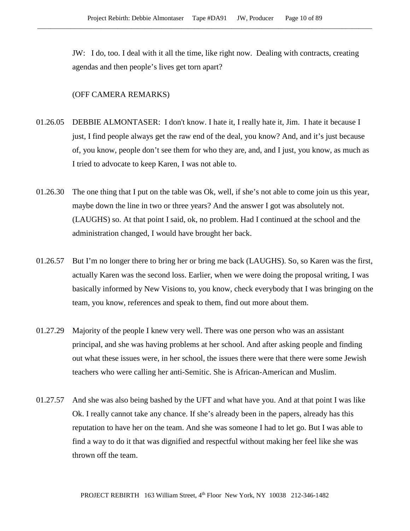JW: I do, too. I deal with it all the time, like right now. Dealing with contracts, creating agendas and then people's lives get torn apart?

#### (OFF CAMERA REMARKS)

- 01.26.05 DEBBIE ALMONTASER: I don't know. I hate it, I really hate it, Jim. I hate it because I just, I find people always get the raw end of the deal, you know? And, and it's just because of, you know, people don't see them for who they are, and, and I just, you know, as much as I tried to advocate to keep Karen, I was not able to.
- 01.26.30 The one thing that I put on the table was Ok, well, if she's not able to come join us this year, maybe down the line in two or three years? And the answer I got was absolutely not. (LAUGHS) so. At that point I said, ok, no problem. Had I continued at the school and the administration changed, I would have brought her back.
- 01.26.57 But I'm no longer there to bring her or bring me back (LAUGHS). So, so Karen was the first, actually Karen was the second loss. Earlier, when we were doing the proposal writing, I was basically informed by New Visions to, you know, check everybody that I was bringing on the team, you know, references and speak to them, find out more about them.
- 01.27.29 Majority of the people I knew very well. There was one person who was an assistant principal, and she was having problems at her school. And after asking people and finding out what these issues were, in her school, the issues there were that there were some Jewish teachers who were calling her anti-Semitic. She is African-American and Muslim.
- 01.27.57 And she was also being bashed by the UFT and what have you. And at that point I was like Ok. I really cannot take any chance. If she's already been in the papers, already has this reputation to have her on the team. And she was someone I had to let go. But I was able to find a way to do it that was dignified and respectful without making her feel like she was thrown off the team.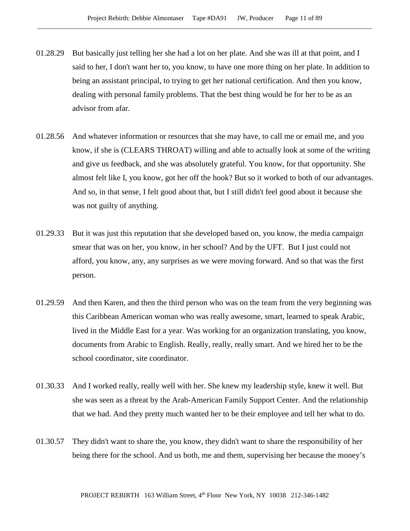- 01.28.29 But basically just telling her she had a lot on her plate. And she was ill at that point, and I said to her, I don't want her to, you know, to have one more thing on her plate. In addition to being an assistant principal, to trying to get her national certification. And then you know, dealing with personal family problems. That the best thing would be for her to be as an advisor from afar.
- 01.28.56 And whatever information or resources that she may have, to call me or email me, and you know, if she is (CLEARS THROAT) willing and able to actually look at some of the writing and give us feedback, and she was absolutely grateful. You know, for that opportunity. She almost felt like I, you know, got her off the hook? But so it worked to both of our advantages. And so, in that sense, I felt good about that, but I still didn't feel good about it because she was not guilty of anything.
- 01.29.33 But it was just this reputation that she developed based on, you know, the media campaign smear that was on her, you know, in her school? And by the UFT. But I just could not afford, you know, any, any surprises as we were moving forward. And so that was the first person.
- 01.29.59 And then Karen, and then the third person who was on the team from the very beginning was this Caribbean American woman who was really awesome, smart, learned to speak Arabic, lived in the Middle East for a year. Was working for an organization translating, you know, documents from Arabic to English. Really, really, really smart. And we hired her to be the school coordinator, site coordinator.
- 01.30.33 And I worked really, really well with her. She knew my leadership style, knew it well. But she was seen as a threat by the Arab-American Family Support Center. And the relationship that we had. And they pretty much wanted her to be their employee and tell her what to do.
- 01.30.57 They didn't want to share the, you know, they didn't want to share the responsibility of her being there for the school. And us both, me and them, supervising her because the money's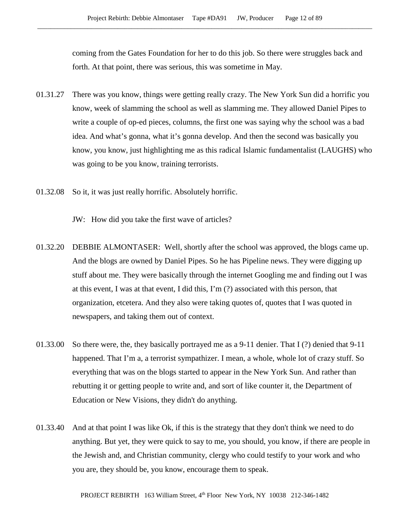coming from the Gates Foundation for her to do this job. So there were struggles back and forth. At that point, there was serious, this was sometime in May.

- 01.31.27 There was you know, things were getting really crazy. The New York Sun did a horrific you know, week of slamming the school as well as slamming me. They allowed Daniel Pipes to write a couple of op-ed pieces, columns, the first one was saying why the school was a bad idea. And what's gonna, what it's gonna develop. And then the second was basically you know, you know, just highlighting me as this radical Islamic fundamentalist (LAUGHS) who was going to be you know, training terrorists.
- 01.32.08 So it, it was just really horrific. Absolutely horrific.
	- JW: How did you take the first wave of articles?
- 01.32.20 DEBBIE ALMONTASER: Well, shortly after the school was approved, the blogs came up. And the blogs are owned by Daniel Pipes. So he has Pipeline news. They were digging up stuff about me. They were basically through the internet Googling me and finding out I was at this event, I was at that event, I did this, I'm (?) associated with this person, that organization, etcetera. And they also were taking quotes of, quotes that I was quoted in newspapers, and taking them out of context.
- 01.33.00 So there were, the, they basically portrayed me as a 9-11 denier. That I (?) denied that 9-11 happened. That I'm a, a terrorist sympathizer. I mean, a whole, whole lot of crazy stuff. So everything that was on the blogs started to appear in the New York Sun. And rather than rebutting it or getting people to write and, and sort of like counter it, the Department of Education or New Visions, they didn't do anything.
- 01.33.40 And at that point I was like Ok, if this is the strategy that they don't think we need to do anything. But yet, they were quick to say to me, you should, you know, if there are people in the Jewish and, and Christian community, clergy who could testify to your work and who you are, they should be, you know, encourage them to speak.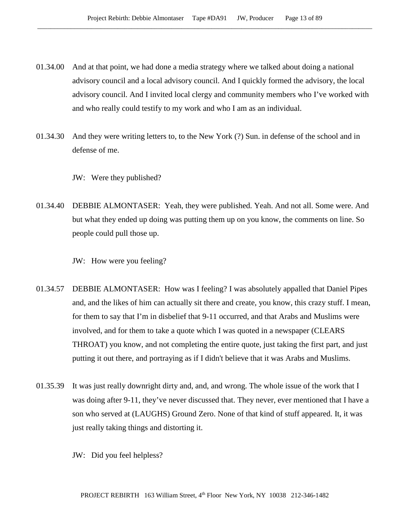- 01.34.00 And at that point, we had done a media strategy where we talked about doing a national advisory council and a local advisory council. And I quickly formed the advisory, the local advisory council. And I invited local clergy and community members who I've worked with and who really could testify to my work and who I am as an individual.
- 01.34.30 And they were writing letters to, to the New York (?) Sun. in defense of the school and in defense of me.
	- JW: Were they published?
- 01.34.40 DEBBIE ALMONTASER: Yeah, they were published. Yeah. And not all. Some were. And but what they ended up doing was putting them up on you know, the comments on line. So people could pull those up.
	- JW: How were you feeling?
- 01.34.57 DEBBIE ALMONTASER: How was I feeling? I was absolutely appalled that Daniel Pipes and, and the likes of him can actually sit there and create, you know, this crazy stuff. I mean, for them to say that I'm in disbelief that 9-11 occurred, and that Arabs and Muslims were involved, and for them to take a quote which I was quoted in a newspaper (CLEARS THROAT) you know, and not completing the entire quote, just taking the first part, and just putting it out there, and portraying as if I didn't believe that it was Arabs and Muslims.
- 01.35.39 It was just really downright dirty and, and, and wrong. The whole issue of the work that I was doing after 9-11, they've never discussed that. They never, ever mentioned that I have a son who served at (LAUGHS) Ground Zero. None of that kind of stuff appeared. It, it was just really taking things and distorting it.
	- JW: Did you feel helpless?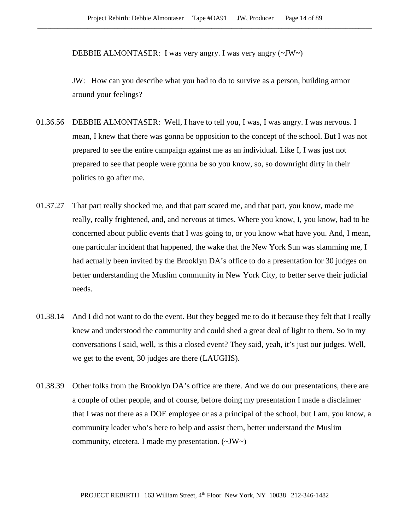DEBBIE ALMONTASER: I was very angry. I was very angry (~JW~)

JW: How can you describe what you had to do to survive as a person, building armor around your feelings?

- 01.36.56 DEBBIE ALMONTASER: Well, I have to tell you, I was, I was angry. I was nervous. I mean, I knew that there was gonna be opposition to the concept of the school. But I was not prepared to see the entire campaign against me as an individual. Like I, I was just not prepared to see that people were gonna be so you know, so, so downright dirty in their politics to go after me.
- 01.37.27 That part really shocked me, and that part scared me, and that part, you know, made me really, really frightened, and, and nervous at times. Where you know, I, you know, had to be concerned about public events that I was going to, or you know what have you. And, I mean, one particular incident that happened, the wake that the New York Sun was slamming me, I had actually been invited by the Brooklyn DA's office to do a presentation for 30 judges on better understanding the Muslim community in New York City, to better serve their judicial needs.
- 01.38.14 And I did not want to do the event. But they begged me to do it because they felt that I really knew and understood the community and could shed a great deal of light to them. So in my conversations I said, well, is this a closed event? They said, yeah, it's just our judges. Well, we get to the event, 30 judges are there (LAUGHS).
- 01.38.39 Other folks from the Brooklyn DA's office are there. And we do our presentations, there are a couple of other people, and of course, before doing my presentation I made a disclaimer that I was not there as a DOE employee or as a principal of the school, but I am, you know, a community leader who's here to help and assist them, better understand the Muslim community, etcetera. I made my presentation. (~JW~)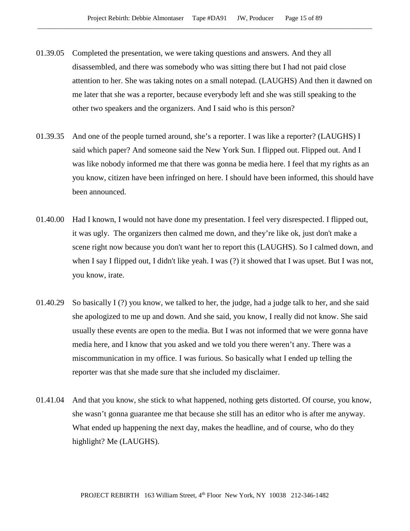- 01.39.05 Completed the presentation, we were taking questions and answers. And they all disassembled, and there was somebody who was sitting there but I had not paid close attention to her. She was taking notes on a small notepad. (LAUGHS) And then it dawned on me later that she was a reporter, because everybody left and she was still speaking to the other two speakers and the organizers. And I said who is this person?
- 01.39.35 And one of the people turned around, she's a reporter. I was like a reporter? (LAUGHS) I said which paper? And someone said the New York Sun. I flipped out. Flipped out. And I was like nobody informed me that there was gonna be media here. I feel that my rights as an you know, citizen have been infringed on here. I should have been informed, this should have been announced.
- 01.40.00 Had I known, I would not have done my presentation. I feel very disrespected. I flipped out, it was ugly. The organizers then calmed me down, and they're like ok, just don't make a scene right now because you don't want her to report this (LAUGHS). So I calmed down, and when I say I flipped out, I didn't like yeah. I was (?) it showed that I was upset. But I was not, you know, irate.
- 01.40.29 So basically I (?) you know, we talked to her, the judge, had a judge talk to her, and she said she apologized to me up and down. And she said, you know, I really did not know. She said usually these events are open to the media. But I was not informed that we were gonna have media here, and I know that you asked and we told you there weren't any. There was a miscommunication in my office. I was furious. So basically what I ended up telling the reporter was that she made sure that she included my disclaimer.
- 01.41.04 And that you know, she stick to what happened, nothing gets distorted. Of course, you know, she wasn't gonna guarantee me that because she still has an editor who is after me anyway. What ended up happening the next day, makes the headline, and of course, who do they highlight? Me (LAUGHS).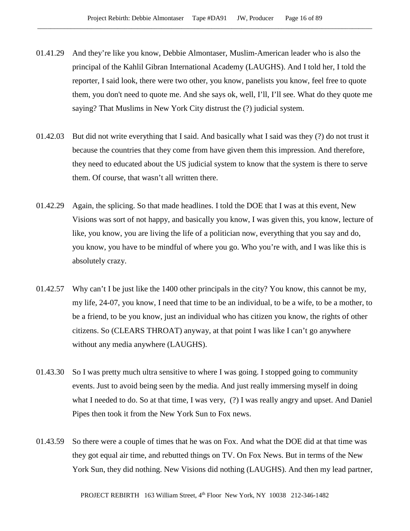- 01.41.29 And they're like you know, Debbie Almontaser, Muslim-American leader who is also the principal of the Kahlil Gibran International Academy (LAUGHS). And I told her, I told the reporter, I said look, there were two other, you know, panelists you know, feel free to quote them, you don't need to quote me. And she says ok, well, I'll, I'll see. What do they quote me saying? That Muslims in New York City distrust the (?) judicial system.
- 01.42.03 But did not write everything that I said. And basically what I said was they (?) do not trust it because the countries that they come from have given them this impression. And therefore, they need to educated about the US judicial system to know that the system is there to serve them. Of course, that wasn't all written there.
- 01.42.29 Again, the splicing. So that made headlines. I told the DOE that I was at this event, New Visions was sort of not happy, and basically you know, I was given this, you know, lecture of like, you know, you are living the life of a politician now, everything that you say and do, you know, you have to be mindful of where you go. Who you're with, and I was like this is absolutely crazy.
- 01.42.57 Why can't I be just like the 1400 other principals in the city? You know, this cannot be my, my life, 24-07, you know, I need that time to be an individual, to be a wife, to be a mother, to be a friend, to be you know, just an individual who has citizen you know, the rights of other citizens. So (CLEARS THROAT) anyway, at that point I was like I can't go anywhere without any media anywhere (LAUGHS).
- 01.43.30 So I was pretty much ultra sensitive to where I was going. I stopped going to community events. Just to avoid being seen by the media. And just really immersing myself in doing what I needed to do. So at that time, I was very, (?) I was really angry and upset. And Daniel Pipes then took it from the New York Sun to Fox news.
- 01.43.59 So there were a couple of times that he was on Fox. And what the DOE did at that time was they got equal air time, and rebutted things on TV. On Fox News. But in terms of the New York Sun, they did nothing. New Visions did nothing (LAUGHS). And then my lead partner,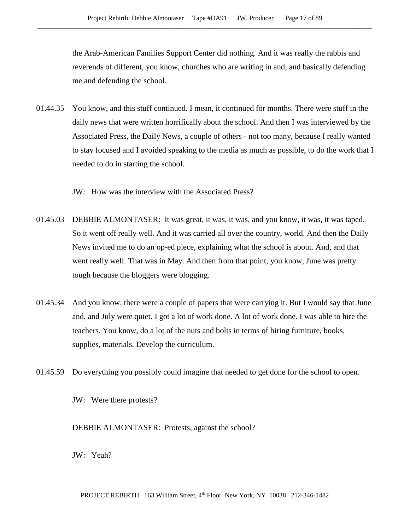the Arab-American Families Support Center did nothing. And it was really the rabbis and reverends of different, you know, churches who are writing in and, and basically defending me and defending the school.

01.44.35 You know, and this stuff continued. I mean, it continued for months. There were stuff in the daily news that were written horrifically about the school. And then I was interviewed by the Associated Press, the Daily News, a couple of others - not too many, because I really wanted to stay focused and I avoided speaking to the media as much as possible, to do the work that I needed to do in starting the school.

JW: How was the interview with the Associated Press?

- 01.45.03 DEBBIE ALMONTASER: It was great, it was, it was, and you know, it was, it was taped. So it went off really well. And it was carried all over the country, world. And then the Daily News invited me to do an op-ed piece, explaining what the school is about. And, and that went really well. That was in May. And then from that point, you know, June was pretty tough because the bloggers were blogging.
- 01.45.34 And you know, there were a couple of papers that were carrying it. But I would say that June and, and July were quiet. I got a lot of work done. A lot of work done. I was able to hire the teachers. You know, do a lot of the nuts and bolts in terms of hiring furniture, books, supplies, materials. Develop the curriculum.
- 01.45.59 Do everything you possibly could imagine that needed to get done for the school to open.

JW: Were there protests?

DEBBIE ALMONTASER: Protests, against the school?

JW: Yeah?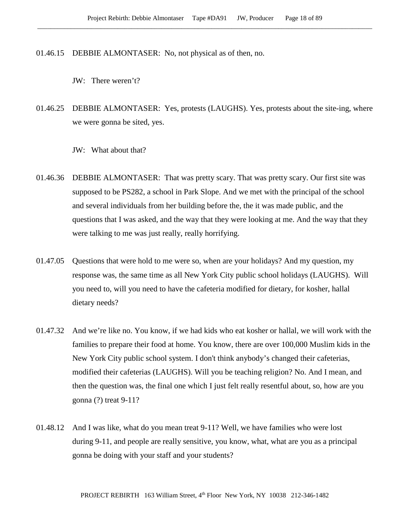01.46.15 DEBBIE ALMONTASER: No, not physical as of then, no.

JW: There weren't?

01.46.25 DEBBIE ALMONTASER: Yes, protests (LAUGHS). Yes, protests about the site-ing, where we were gonna be sited, yes.

JW: What about that?

- 01.46.36 DEBBIE ALMONTASER: That was pretty scary. That was pretty scary. Our first site was supposed to be PS282, a school in Park Slope. And we met with the principal of the school and several individuals from her building before the, the it was made public, and the questions that I was asked, and the way that they were looking at me. And the way that they were talking to me was just really, really horrifying.
- 01.47.05 Questions that were hold to me were so, when are your holidays? And my question, my response was, the same time as all New York City public school holidays (LAUGHS). Will you need to, will you need to have the cafeteria modified for dietary, for kosher, hallal dietary needs?
- 01.47.32 And we're like no. You know, if we had kids who eat kosher or hallal, we will work with the families to prepare their food at home. You know, there are over 100,000 Muslim kids in the New York City public school system. I don't think anybody's changed their cafeterias, modified their cafeterias (LAUGHS). Will you be teaching religion? No. And I mean, and then the question was, the final one which I just felt really resentful about, so, how are you gonna (?) treat 9-11?
- 01.48.12 And I was like, what do you mean treat 9-11? Well, we have families who were lost during 9-11, and people are really sensitive, you know, what, what are you as a principal gonna be doing with your staff and your students?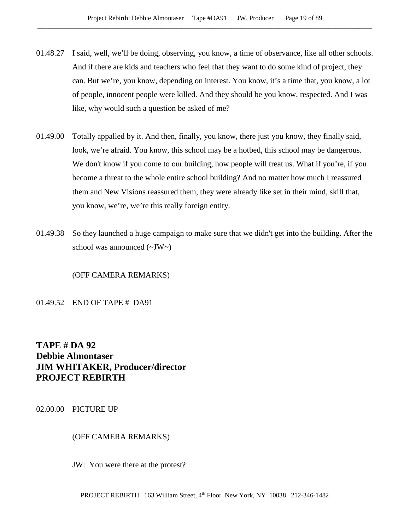- 01.48.27 I said, well, we'll be doing, observing, you know, a time of observance, like all other schools. And if there are kids and teachers who feel that they want to do some kind of project, they can. But we're, you know, depending on interest. You know, it's a time that, you know, a lot of people, innocent people were killed. And they should be you know, respected. And I was like, why would such a question be asked of me?
- 01.49.00 Totally appalled by it. And then, finally, you know, there just you know, they finally said, look, we're afraid. You know, this school may be a hotbed, this school may be dangerous. We don't know if you come to our building, how people will treat us. What if you're, if you become a threat to the whole entire school building? And no matter how much I reassured them and New Visions reassured them, they were already like set in their mind, skill that, you know, we're, we're this really foreign entity.
- 01.49.38 So they launched a huge campaign to make sure that we didn't get into the building. After the school was announced (~JW~)

(OFF CAMERA REMARKS)

01.49.52 END OF TAPE # DA91

# **TAPE # DA 92 Debbie Almontaser JIM WHITAKER, Producer/director PROJECT REBIRTH**

02.00.00 PICTURE UP

# (OFF CAMERA REMARKS)

JW: You were there at the protest?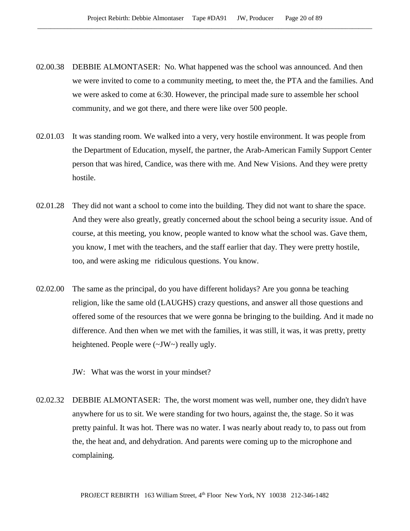- 02.00.38 DEBBIE ALMONTASER: No. What happened was the school was announced. And then we were invited to come to a community meeting, to meet the, the PTA and the families. And we were asked to come at 6:30. However, the principal made sure to assemble her school community, and we got there, and there were like over 500 people.
- 02.01.03 It was standing room. We walked into a very, very hostile environment. It was people from the Department of Education, myself, the partner, the Arab-American Family Support Center person that was hired, Candice, was there with me. And New Visions. And they were pretty hostile.
- 02.01.28 They did not want a school to come into the building. They did not want to share the space. And they were also greatly, greatly concerned about the school being a security issue. And of course, at this meeting, you know, people wanted to know what the school was. Gave them, you know, I met with the teachers, and the staff earlier that day. They were pretty hostile, too, and were asking me ridiculous questions. You know.
- 02.02.00 The same as the principal, do you have different holidays? Are you gonna be teaching religion, like the same old (LAUGHS) crazy questions, and answer all those questions and offered some of the resources that we were gonna be bringing to the building. And it made no difference. And then when we met with the families, it was still, it was, it was pretty, pretty heightened. People were (~JW~) really ugly.

JW: What was the worst in your mindset?

02.02.32 DEBBIE ALMONTASER: The, the worst moment was well, number one, they didn't have anywhere for us to sit. We were standing for two hours, against the, the stage. So it was pretty painful. It was hot. There was no water. I was nearly about ready to, to pass out from the, the heat and, and dehydration. And parents were coming up to the microphone and complaining.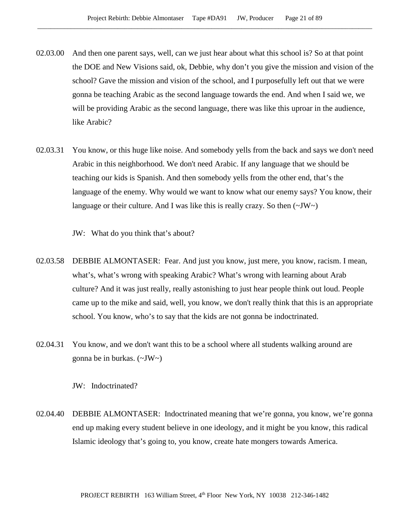- 02.03.00 And then one parent says, well, can we just hear about what this school is? So at that point the DOE and New Visions said, ok, Debbie, why don't you give the mission and vision of the school? Gave the mission and vision of the school, and I purposefully left out that we were gonna be teaching Arabic as the second language towards the end. And when I said we, we will be providing Arabic as the second language, there was like this uproar in the audience, like Arabic?
- 02.03.31 You know, or this huge like noise. And somebody yells from the back and says we don't need Arabic in this neighborhood. We don't need Arabic. If any language that we should be teaching our kids is Spanish. And then somebody yells from the other end, that's the language of the enemy. Why would we want to know what our enemy says? You know, their language or their culture. And I was like this is really crazy. So then  $(\sim JW)$ 
	- JW: What do you think that's about?
- 02.03.58 DEBBIE ALMONTASER: Fear. And just you know, just mere, you know, racism. I mean, what's, what's wrong with speaking Arabic? What's wrong with learning about Arab culture? And it was just really, really astonishing to just hear people think out loud. People came up to the mike and said, well, you know, we don't really think that this is an appropriate school. You know, who's to say that the kids are not gonna be indoctrinated.
- 02.04.31 You know, and we don't want this to be a school where all students walking around are gonna be in burkas. (~JW~)

JW: Indoctrinated?

02.04.40 DEBBIE ALMONTASER: Indoctrinated meaning that we're gonna, you know, we're gonna end up making every student believe in one ideology, and it might be you know, this radical Islamic ideology that's going to, you know, create hate mongers towards America.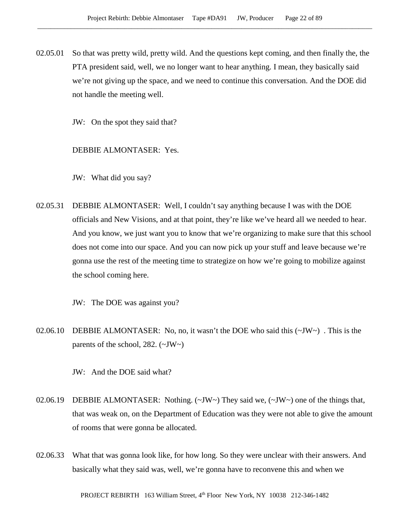02.05.01 So that was pretty wild, pretty wild. And the questions kept coming, and then finally the, the PTA president said, well, we no longer want to hear anything. I mean, they basically said we're not giving up the space, and we need to continue this conversation. And the DOE did not handle the meeting well.

JW: On the spot they said that?

DEBBIE ALMONTASER: Yes.

JW: What did you say?

02.05.31 DEBBIE ALMONTASER: Well, I couldn't say anything because I was with the DOE officials and New Visions, and at that point, they're like we've heard all we needed to hear. And you know, we just want you to know that we're organizing to make sure that this school does not come into our space. And you can now pick up your stuff and leave because we're gonna use the rest of the meeting time to strategize on how we're going to mobilize against the school coming here.

JW: The DOE was against you?

02.06.10 DEBBIE ALMONTASER: No, no, it wasn't the DOE who said this  $(\sim JW)$ . This is the parents of the school, 282.  $(\sim JW \sim)$ 

JW: And the DOE said what?

- 02.06.19 DEBBIE ALMONTASER: Nothing. (~JW~) They said we, (~JW~) one of the things that, that was weak on, on the Department of Education was they were not able to give the amount of rooms that were gonna be allocated.
- 02.06.33 What that was gonna look like, for how long. So they were unclear with their answers. And basically what they said was, well, we're gonna have to reconvene this and when we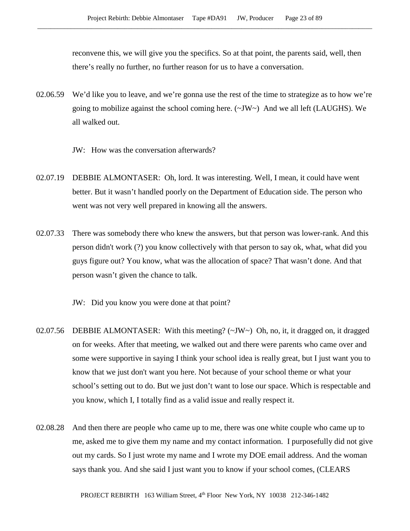reconvene this, we will give you the specifics. So at that point, the parents said, well, then there's really no further, no further reason for us to have a conversation.

- 02.06.59 We'd like you to leave, and we're gonna use the rest of the time to strategize as to how we're going to mobilize against the school coming here.  $(\sim JW)$  And we all left (LAUGHS). We all walked out.
	- JW: How was the conversation afterwards?
- 02.07.19 DEBBIE ALMONTASER: Oh, lord. It was interesting. Well, I mean, it could have went better. But it wasn't handled poorly on the Department of Education side. The person who went was not very well prepared in knowing all the answers.
- 02.07.33 There was somebody there who knew the answers, but that person was lower-rank. And this person didn't work (?) you know collectively with that person to say ok, what, what did you guys figure out? You know, what was the allocation of space? That wasn't done. And that person wasn't given the chance to talk.

JW: Did you know you were done at that point?

- 02.07.56 DEBBIE ALMONTASER: With this meeting?  $(\sim JW \sim)$  Oh, no, it, it dragged on, it dragged on for weeks. After that meeting, we walked out and there were parents who came over and some were supportive in saying I think your school idea is really great, but I just want you to know that we just don't want you here. Not because of your school theme or what your school's setting out to do. But we just don't want to lose our space. Which is respectable and you know, which I, I totally find as a valid issue and really respect it.
- 02.08.28 And then there are people who came up to me, there was one white couple who came up to me, asked me to give them my name and my contact information. I purposefully did not give out my cards. So I just wrote my name and I wrote my DOE email address. And the woman says thank you. And she said I just want you to know if your school comes, (CLEARS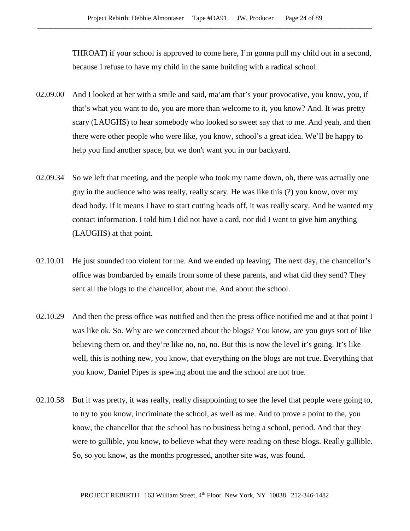THROAT) if your school is approved to come here, I'm gonna pull my child out in a second, because I refuse to have my child in the same building with a radical school.

- 02.09.00 And I looked at her with a smile and said, ma'am that's your provocative, you know, you, if that's what you want to do, you are more than welcome to it, you know? And. It was pretty scary (LAUGHS) to hear somebody who looked so sweet say that to me. And yeah, and then there were other people who were like, you know, school's a great idea. We'll be happy to help you find another space, but we don't want you in our backyard.
- 02.09.34 So we left that meeting, and the people who took my name down, oh, there was actually one guy in the audience who was really, really scary. He was like this (?) you know, over my dead body. If it means I have to start cutting heads off, it was really scary. And he wanted my contact information. I told him I did not have a card, nor did I want to give him anything (LAUGHS) at that point.
- 02.10.01 He just sounded too violent for me. And we ended up leaving. The next day, the chancellor's office was bombarded by emails from some of these parents, and what did they send? They sent all the blogs to the chancellor, about me. And about the school.
- 02.10.29 And then the press office was notified and then the press office notified me and at that point I was like ok. So. Why are we concerned about the blogs? You know, are you guys sort of like believing them or, and they're like no, no, no. But this is now the level it's going. It's like well, this is nothing new, you know, that everything on the blogs are not true. Everything that you know, Daniel Pipes is spewing about me and the school are not true.
- 02.10.58 But it was pretty, it was really, really disappointing to see the level that people were going to, to try to you know, incriminate the school, as well as me. And to prove a point to the, you know, the chancellor that the school has no business being a school, period. And that they were to gullible, you know, to believe what they were reading on these blogs. Really gullible. So, so you know, as the months progressed, another site was, was found.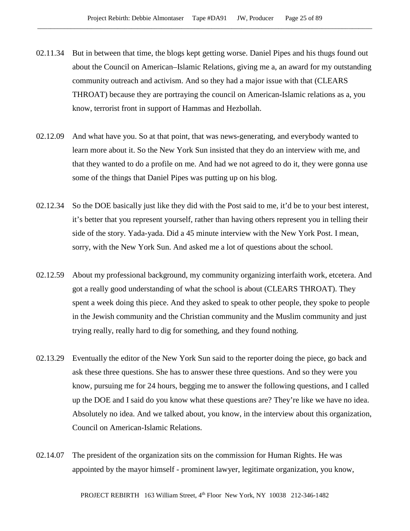- 02.11.34 But in between that time, the blogs kept getting worse. Daniel Pipes and his thugs found out about the Council on American–Islamic Relations, giving me a, an award for my outstanding community outreach and activism. And so they had a major issue with that (CLEARS THROAT) because they are portraying the council on American-Islamic relations as a, you know, terrorist front in support of Hammas and Hezbollah.
- 02.12.09 And what have you. So at that point, that was news-generating, and everybody wanted to learn more about it. So the New York Sun insisted that they do an interview with me, and that they wanted to do a profile on me. And had we not agreed to do it, they were gonna use some of the things that Daniel Pipes was putting up on his blog.
- 02.12.34 So the DOE basically just like they did with the Post said to me, it'd be to your best interest, it's better that you represent yourself, rather than having others represent you in telling their side of the story. Yada-yada. Did a 45 minute interview with the New York Post. I mean, sorry, with the New York Sun. And asked me a lot of questions about the school.
- 02.12.59 About my professional background, my community organizing interfaith work, etcetera. And got a really good understanding of what the school is about (CLEARS THROAT). They spent a week doing this piece. And they asked to speak to other people, they spoke to people in the Jewish community and the Christian community and the Muslim community and just trying really, really hard to dig for something, and they found nothing.
- 02.13.29 Eventually the editor of the New York Sun said to the reporter doing the piece, go back and ask these three questions. She has to answer these three questions. And so they were you know, pursuing me for 24 hours, begging me to answer the following questions, and I called up the DOE and I said do you know what these questions are? They're like we have no idea. Absolutely no idea. And we talked about, you know, in the interview about this organization, Council on American-Islamic Relations.
- 02.14.07 The president of the organization sits on the commission for Human Rights. He was appointed by the mayor himself - prominent lawyer, legitimate organization, you know,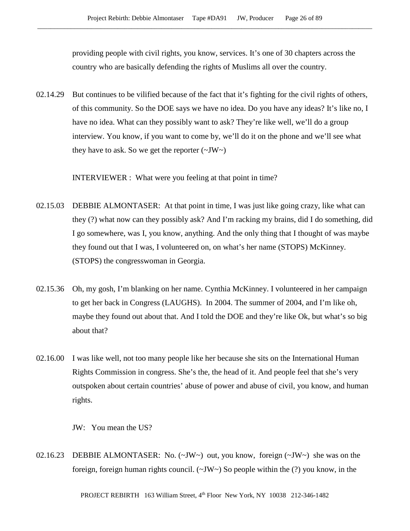providing people with civil rights, you know, services. It's one of 30 chapters across the country who are basically defending the rights of Muslims all over the country.

02.14.29 But continues to be vilified because of the fact that it's fighting for the civil rights of others, of this community. So the DOE says we have no idea. Do you have any ideas? It's like no, I have no idea. What can they possibly want to ask? They're like well, we'll do a group interview. You know, if you want to come by, we'll do it on the phone and we'll see what they have to ask. So we get the reporter  $(\sim JW)$ 

INTERVIEWER : What were you feeling at that point in time?

- 02.15.03 DEBBIE ALMONTASER: At that point in time, I was just like going crazy, like what can they (?) what now can they possibly ask? And I'm racking my brains, did I do something, did I go somewhere, was I, you know, anything. And the only thing that I thought of was maybe they found out that I was, I volunteered on, on what's her name (STOPS) McKinney. (STOPS) the congresswoman in Georgia.
- 02.15.36 Oh, my gosh, I'm blanking on her name. Cynthia McKinney. I volunteered in her campaign to get her back in Congress (LAUGHS). In 2004. The summer of 2004, and I'm like oh, maybe they found out about that. And I told the DOE and they're like Ok, but what's so big about that?
- 02.16.00 I was like well, not too many people like her because she sits on the International Human Rights Commission in congress. She's the, the head of it. And people feel that she's very outspoken about certain countries' abuse of power and abuse of civil, you know, and human rights.

JW: You mean the US?

02.16.23 DEBBIE ALMONTASER: No. (~JW~) out, you know, foreign (~JW~) she was on the foreign, foreign human rights council.  $(\sim JW \sim)$  So people within the (?) you know, in the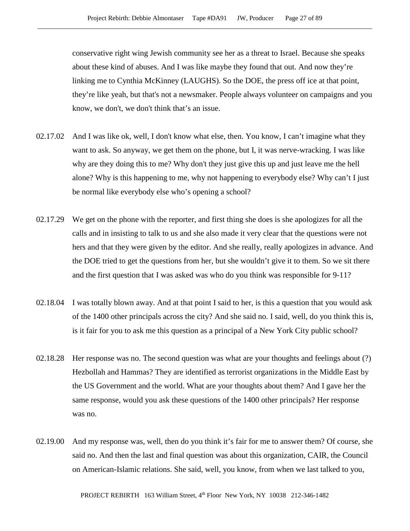conservative right wing Jewish community see her as a threat to Israel. Because she speaks about these kind of abuses. And I was like maybe they found that out. And now they're linking me to Cynthia McKinney (LAUGHS). So the DOE, the press off ice at that point, they're like yeah, but that's not a newsmaker. People always volunteer on campaigns and you know, we don't, we don't think that's an issue.

- 02.17.02 And I was like ok, well, I don't know what else, then. You know, I can't imagine what they want to ask. So anyway, we get them on the phone, but I, it was nerve-wracking. I was like why are they doing this to me? Why don't they just give this up and just leave me the hell alone? Why is this happening to me, why not happening to everybody else? Why can't I just be normal like everybody else who's opening a school?
- 02.17.29 We get on the phone with the reporter, and first thing she does is she apologizes for all the calls and in insisting to talk to us and she also made it very clear that the questions were not hers and that they were given by the editor. And she really, really apologizes in advance. And the DOE tried to get the questions from her, but she wouldn't give it to them. So we sit there and the first question that I was asked was who do you think was responsible for 9-11?
- 02.18.04 I was totally blown away. And at that point I said to her, is this a question that you would ask of the 1400 other principals across the city? And she said no. I said, well, do you think this is, is it fair for you to ask me this question as a principal of a New York City public school?
- 02.18.28 Her response was no. The second question was what are your thoughts and feelings about (?) Hezbollah and Hammas? They are identified as terrorist organizations in the Middle East by the US Government and the world. What are your thoughts about them? And I gave her the same response, would you ask these questions of the 1400 other principals? Her response was no.
- 02.19.00 And my response was, well, then do you think it's fair for me to answer them? Of course, she said no. And then the last and final question was about this organization, CAIR, the Council on American-Islamic relations. She said, well, you know, from when we last talked to you,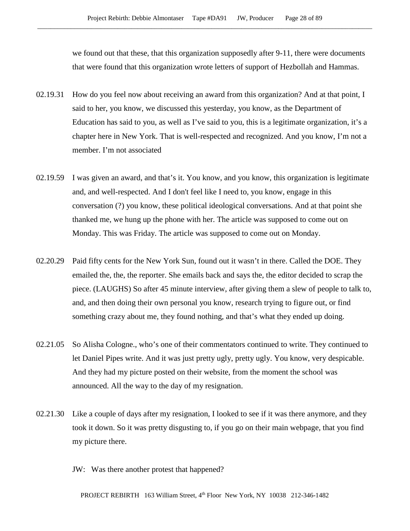we found out that these, that this organization supposedly after 9-11, there were documents that were found that this organization wrote letters of support of Hezbollah and Hammas.

- 02.19.31 How do you feel now about receiving an award from this organization? And at that point, I said to her, you know, we discussed this yesterday, you know, as the Department of Education has said to you, as well as I've said to you, this is a legitimate organization, it's a chapter here in New York. That is well-respected and recognized. And you know, I'm not a member. I'm not associated
- 02.19.59 I was given an award, and that's it. You know, and you know, this organization is legitimate and, and well-respected. And I don't feel like I need to, you know, engage in this conversation (?) you know, these political ideological conversations. And at that point she thanked me, we hung up the phone with her. The article was supposed to come out on Monday. This was Friday. The article was supposed to come out on Monday.
- 02.20.29 Paid fifty cents for the New York Sun, found out it wasn't in there. Called the DOE. They emailed the, the, the reporter. She emails back and says the, the editor decided to scrap the piece. (LAUGHS) So after 45 minute interview, after giving them a slew of people to talk to, and, and then doing their own personal you know, research trying to figure out, or find something crazy about me, they found nothing, and that's what they ended up doing.
- 02.21.05 So Alisha Cologne., who's one of their commentators continued to write. They continued to let Daniel Pipes write. And it was just pretty ugly, pretty ugly. You know, very despicable. And they had my picture posted on their website, from the moment the school was announced. All the way to the day of my resignation.
- 02.21.30 Like a couple of days after my resignation, I looked to see if it was there anymore, and they took it down. So it was pretty disgusting to, if you go on their main webpage, that you find my picture there.
	- JW: Was there another protest that happened?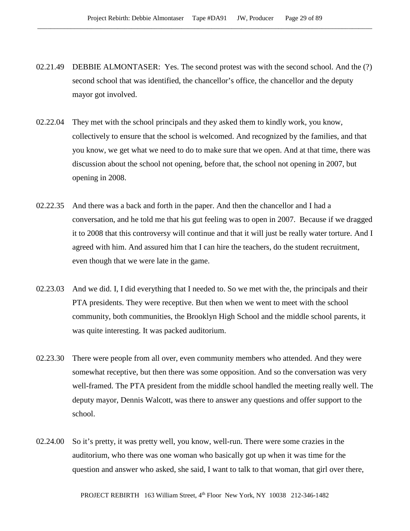- 02.21.49 DEBBIE ALMONTASER: Yes. The second protest was with the second school. And the (?) second school that was identified, the chancellor's office, the chancellor and the deputy mayor got involved.
- 02.22.04 They met with the school principals and they asked them to kindly work, you know, collectively to ensure that the school is welcomed. And recognized by the families, and that you know, we get what we need to do to make sure that we open. And at that time, there was discussion about the school not opening, before that, the school not opening in 2007, but opening in 2008.
- 02.22.35 And there was a back and forth in the paper. And then the chancellor and I had a conversation, and he told me that his gut feeling was to open in 2007. Because if we dragged it to 2008 that this controversy will continue and that it will just be really water torture. And I agreed with him. And assured him that I can hire the teachers, do the student recruitment, even though that we were late in the game.
- 02.23.03 And we did. I, I did everything that I needed to. So we met with the, the principals and their PTA presidents. They were receptive. But then when we went to meet with the school community, both communities, the Brooklyn High School and the middle school parents, it was quite interesting. It was packed auditorium.
- 02.23.30 There were people from all over, even community members who attended. And they were somewhat receptive, but then there was some opposition. And so the conversation was very well-framed. The PTA president from the middle school handled the meeting really well. The deputy mayor, Dennis Walcott, was there to answer any questions and offer support to the school.
- 02.24.00 So it's pretty, it was pretty well, you know, well-run. There were some crazies in the auditorium, who there was one woman who basically got up when it was time for the question and answer who asked, she said, I want to talk to that woman, that girl over there,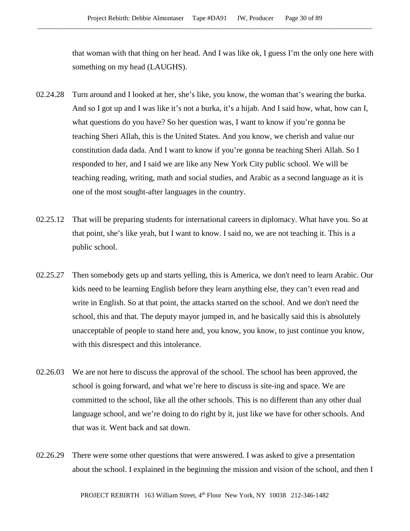that woman with that thing on her head. And I was like ok, I guess I'm the only one here with something on my head (LAUGHS).

- 02.24.28 Turn around and I looked at her, she's like, you know, the woman that's wearing the burka. And so I got up and I was like it's not a burka, it's a hijab. And I said how, what, how can I, what questions do you have? So her question was, I want to know if you're gonna be teaching Sheri Allah, this is the United States. And you know, we cherish and value our constitution dada dada. And I want to know if you're gonna be teaching Sheri Allah. So I responded to her, and I said we are like any New York City public school. We will be teaching reading, writing, math and social studies, and Arabic as a second language as it is one of the most sought-after languages in the country.
- 02.25.12 That will be preparing students for international careers in diplomacy. What have you. So at that point, she's like yeah, but I want to know. I said no, we are not teaching it. This is a public school.
- 02.25.27 Then somebody gets up and starts yelling, this is America, we don't need to learn Arabic. Our kids need to be learning English before they learn anything else, they can't even read and write in English. So at that point, the attacks started on the school. And we don't need the school, this and that. The deputy mayor jumped in, and he basically said this is absolutely unacceptable of people to stand here and, you know, you know, to just continue you know, with this disrespect and this intolerance.
- 02.26.03 We are not here to discuss the approval of the school. The school has been approved, the school is going forward, and what we're here to discuss is site-ing and space. We are committed to the school, like all the other schools. This is no different than any other dual language school, and we're doing to do right by it, just like we have for other schools. And that was it. Went back and sat down.
- 02.26.29 There were some other questions that were answered. I was asked to give a presentation about the school. I explained in the beginning the mission and vision of the school, and then I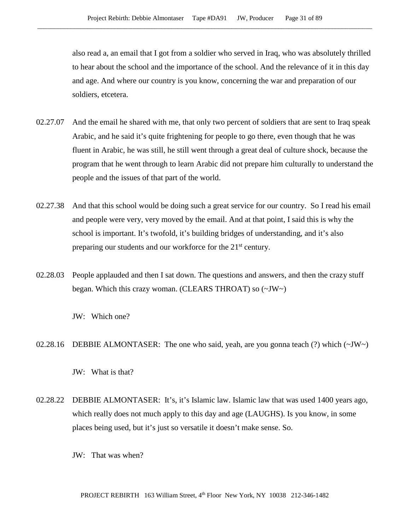also read a, an email that I got from a soldier who served in Iraq, who was absolutely thrilled to hear about the school and the importance of the school. And the relevance of it in this day and age. And where our country is you know, concerning the war and preparation of our soldiers, etcetera.

- 02.27.07 And the email he shared with me, that only two percent of soldiers that are sent to Iraq speak Arabic, and he said it's quite frightening for people to go there, even though that he was fluent in Arabic, he was still, he still went through a great deal of culture shock, because the program that he went through to learn Arabic did not prepare him culturally to understand the people and the issues of that part of the world.
- 02.27.38 And that this school would be doing such a great service for our country. So I read his email and people were very, very moved by the email. And at that point, I said this is why the school is important. It's twofold, it's building bridges of understanding, and it's also preparing our students and our workforce for the 21<sup>st</sup> century.
- 02.28.03 People applauded and then I sat down. The questions and answers, and then the crazy stuff began. Which this crazy woman. (CLEARS THROAT) so (~JW~)

JW: Which one?

02.28.16 DEBBIE ALMONTASER: The one who said, yeah, are you gonna teach (?) which  $(\sim JW \sim)$ 

- 02.28.22 DEBBIE ALMONTASER: It's, it's Islamic law. Islamic law that was used 1400 years ago, which really does not much apply to this day and age (LAUGHS). Is you know, in some places being used, but it's just so versatile it doesn't make sense. So.
	- JW: That was when?

JW: What is that?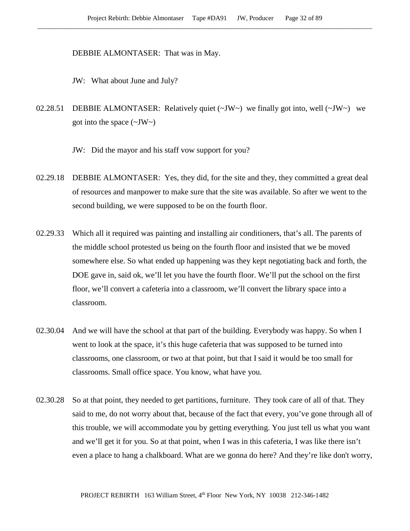DEBBIE ALMONTASER: That was in May.

JW: What about June and July?

02.28.51 DEBBIE ALMONTASER: Relatively quiet  $(\sim JW \sim)$  we finally got into, well  $(\sim JW \sim)$  we got into the space  $(\sim JW \sim)$ 

JW: Did the mayor and his staff vow support for you?

- 02.29.18 DEBBIE ALMONTASER: Yes, they did, for the site and they, they committed a great deal of resources and manpower to make sure that the site was available. So after we went to the second building, we were supposed to be on the fourth floor.
- 02.29.33 Which all it required was painting and installing air conditioners, that's all. The parents of the middle school protested us being on the fourth floor and insisted that we be moved somewhere else. So what ended up happening was they kept negotiating back and forth, the DOE gave in, said ok, we'll let you have the fourth floor. We'll put the school on the first floor, we'll convert a cafeteria into a classroom, we'll convert the library space into a classroom.
- 02.30.04 And we will have the school at that part of the building. Everybody was happy. So when I went to look at the space, it's this huge cafeteria that was supposed to be turned into classrooms, one classroom, or two at that point, but that I said it would be too small for classrooms. Small office space. You know, what have you.
- 02.30.28 So at that point, they needed to get partitions, furniture. They took care of all of that. They said to me, do not worry about that, because of the fact that every, you've gone through all of this trouble, we will accommodate you by getting everything. You just tell us what you want and we'll get it for you. So at that point, when I was in this cafeteria, I was like there isn't even a place to hang a chalkboard. What are we gonna do here? And they're like don't worry,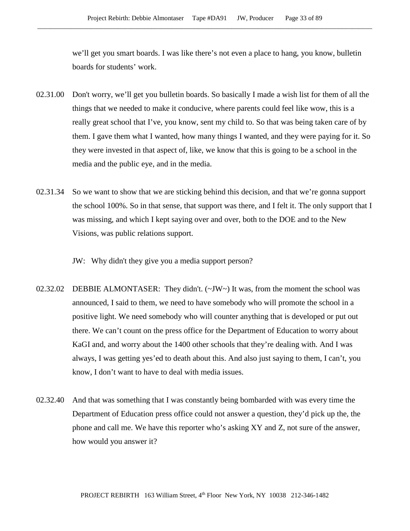we'll get you smart boards. I was like there's not even a place to hang, you know, bulletin boards for students' work.

- 02.31.00 Don't worry, we'll get you bulletin boards. So basically I made a wish list for them of all the things that we needed to make it conducive, where parents could feel like wow, this is a really great school that I've, you know, sent my child to. So that was being taken care of by them. I gave them what I wanted, how many things I wanted, and they were paying for it. So they were invested in that aspect of, like, we know that this is going to be a school in the media and the public eye, and in the media.
- 02.31.34 So we want to show that we are sticking behind this decision, and that we're gonna support the school 100%. So in that sense, that support was there, and I felt it. The only support that I was missing, and which I kept saying over and over, both to the DOE and to the New Visions, was public relations support.

JW: Why didn't they give you a media support person?

- 02.32.02 DEBBIE ALMONTASER: They didn't. (~JW~) It was, from the moment the school was announced, I said to them, we need to have somebody who will promote the school in a positive light. We need somebody who will counter anything that is developed or put out there. We can't count on the press office for the Department of Education to worry about KaGI and, and worry about the 1400 other schools that they're dealing with. And I was always, I was getting yes'ed to death about this. And also just saying to them, I can't, you know, I don't want to have to deal with media issues.
- 02.32.40 And that was something that I was constantly being bombarded with was every time the Department of Education press office could not answer a question, they'd pick up the, the phone and call me. We have this reporter who's asking XY and Z, not sure of the answer, how would you answer it?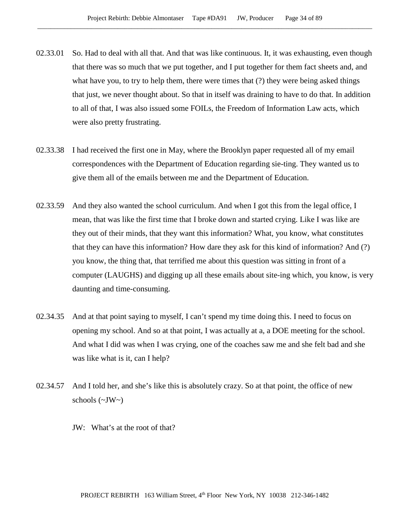- 02.33.01 So. Had to deal with all that. And that was like continuous. It, it was exhausting, even though that there was so much that we put together, and I put together for them fact sheets and, and what have you, to try to help them, there were times that (?) they were being asked things that just, we never thought about. So that in itself was draining to have to do that. In addition to all of that, I was also issued some FOILs, the Freedom of Information Law acts, which were also pretty frustrating.
- 02.33.38 I had received the first one in May, where the Brooklyn paper requested all of my email correspondences with the Department of Education regarding sie-ting. They wanted us to give them all of the emails between me and the Department of Education.
- 02.33.59 And they also wanted the school curriculum. And when I got this from the legal office, I mean, that was like the first time that I broke down and started crying. Like I was like are they out of their minds, that they want this information? What, you know, what constitutes that they can have this information? How dare they ask for this kind of information? And (?) you know, the thing that, that terrified me about this question was sitting in front of a computer (LAUGHS) and digging up all these emails about site-ing which, you know, is very daunting and time-consuming.
- 02.34.35 And at that point saying to myself, I can't spend my time doing this. I need to focus on opening my school. And so at that point, I was actually at a, a DOE meeting for the school. And what I did was when I was crying, one of the coaches saw me and she felt bad and she was like what is it, can I help?
- 02.34.57 And I told her, and she's like this is absolutely crazy. So at that point, the office of new schools  $(\sim JW)$ 
	- JW: What's at the root of that?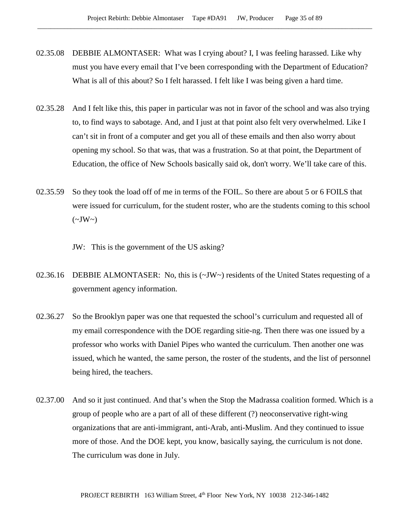- 02.35.08 DEBBIE ALMONTASER: What was I crying about? I, I was feeling harassed. Like why must you have every email that I've been corresponding with the Department of Education? What is all of this about? So I felt harassed. I felt like I was being given a hard time.
- 02.35.28 And I felt like this, this paper in particular was not in favor of the school and was also trying to, to find ways to sabotage. And, and I just at that point also felt very overwhelmed. Like I can't sit in front of a computer and get you all of these emails and then also worry about opening my school. So that was, that was a frustration. So at that point, the Department of Education, the office of New Schools basically said ok, don't worry. We'll take care of this.
- 02.35.59 So they took the load off of me in terms of the FOIL. So there are about 5 or 6 FOILS that were issued for curriculum, for the student roster, who are the students coming to this school  $(\sim JW \sim)$

JW: This is the government of the US asking?

- 02.36.16 DEBBIE ALMONTASER: No, this is (~JW~) residents of the United States requesting of a government agency information.
- 02.36.27 So the Brooklyn paper was one that requested the school's curriculum and requested all of my email correspondence with the DOE regarding sitie-ng. Then there was one issued by a professor who works with Daniel Pipes who wanted the curriculum. Then another one was issued, which he wanted, the same person, the roster of the students, and the list of personnel being hired, the teachers.
- 02.37.00 And so it just continued. And that's when the Stop the Madrassa coalition formed. Which is a group of people who are a part of all of these different (?) neoconservative right-wing organizations that are anti-immigrant, anti-Arab, anti-Muslim. And they continued to issue more of those. And the DOE kept, you know, basically saying, the curriculum is not done. The curriculum was done in July.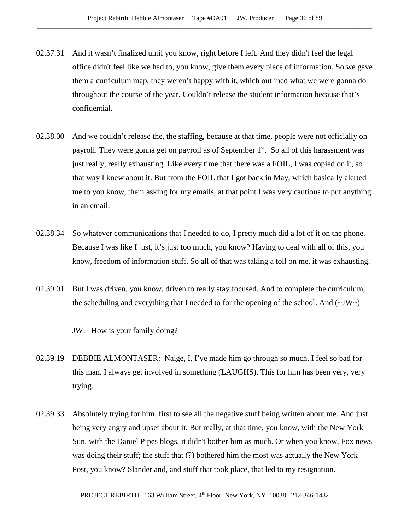- 02.37.31 And it wasn't finalized until you know, right before I left. And they didn't feel the legal office didn't feel like we had to, you know, give them every piece of information. So we gave them a curriculum map, they weren't happy with it, which outlined what we were gonna do throughout the course of the year. Couldn't release the student information because that's confidential.
- 02.38.00 And we couldn't release the, the staffing, because at that time, people were not officially on payroll. They were gonna get on payroll as of September 1<sup>st</sup>. So all of this harassment was just really, really exhausting. Like every time that there was a FOIL, I was copied on it, so that way I knew about it. But from the FOIL that I got back in May, which basically alerted me to you know, them asking for my emails, at that point I was very cautious to put anything in an email.
- 02.38.34 So whatever communications that I needed to do, I pretty much did a lot of it on the phone. Because I was like I just, it's just too much, you know? Having to deal with all of this, you know, freedom of information stuff. So all of that was taking a toll on me, it was exhausting.
- 02.39.01 But I was driven, you know, driven to really stay focused. And to complete the curriculum, the scheduling and everything that I needed to for the opening of the school. And  $(\sim JW)$ 
	- JW: How is your family doing?
- 02.39.19 DEBBIE ALMONTASER: Naige, I, I've made him go through so much. I feel so bad for this man. I always get involved in something (LAUGHS). This for him has been very, very trying.
- 02.39.33 Absolutely trying for him, first to see all the negative stuff being written about me. And just being very angry and upset about it. But really, at that time, you know, with the New York Sun, with the Daniel Pipes blogs, it didn't bother him as much. Or when you know, Fox news was doing their stuff; the stuff that (?) bothered him the most was actually the New York Post, you know? Slander and, and stuff that took place, that led to my resignation.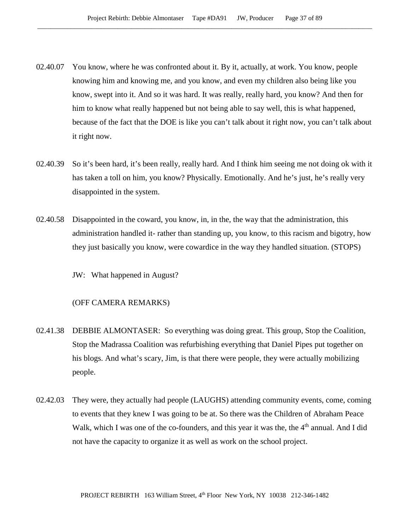- 02.40.07 You know, where he was confronted about it. By it, actually, at work. You know, people knowing him and knowing me, and you know, and even my children also being like you know, swept into it. And so it was hard. It was really, really hard, you know? And then for him to know what really happened but not being able to say well, this is what happened, because of the fact that the DOE is like you can't talk about it right now, you can't talk about it right now.
- 02.40.39 So it's been hard, it's been really, really hard. And I think him seeing me not doing ok with it has taken a toll on him, you know? Physically. Emotionally. And he's just, he's really very disappointed in the system.
- 02.40.58 Disappointed in the coward, you know, in, in the, the way that the administration, this administration handled it- rather than standing up, you know, to this racism and bigotry, how they just basically you know, were cowardice in the way they handled situation. (STOPS)

JW: What happened in August?

## (OFF CAMERA REMARKS)

- 02.41.38 DEBBIE ALMONTASER: So everything was doing great. This group, Stop the Coalition, Stop the Madrassa Coalition was refurbishing everything that Daniel Pipes put together on his blogs. And what's scary, Jim, is that there were people, they were actually mobilizing people.
- 02.42.03 They were, they actually had people (LAUGHS) attending community events, come, coming to events that they knew I was going to be at. So there was the Children of Abraham Peace Walk, which I was one of the co-founders, and this year it was the, the  $4<sup>th</sup>$  annual. And I did not have the capacity to organize it as well as work on the school project.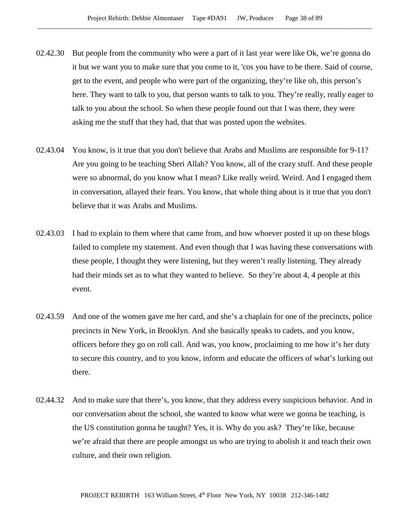- 02.42.30 But people from the community who were a part of it last year were like Ok, we're gonna do it but we want you to make sure that you come to it, 'cos you have to be there. Said of course, get to the event, and people who were part of the organizing, they're like oh, this person's here. They want to talk to you, that person wants to talk to you. They're really, really eager to talk to you about the school. So when these people found out that I was there, they were asking me the stuff that they had, that that was posted upon the websites.
- 02.43.04 You know, is it true that you don't believe that Arabs and Muslims are responsible for 9-11? Are you going to be teaching Sheri Allah? You know, all of the crazy stuff. And these people were so abnormal, do you know what I mean? Like really weird. Weird. And I engaged them in conversation, allayed their fears. You know, that whole thing about is it true that you don't believe that it was Arabs and Muslims.
- 02.43.03 I had to explain to them where that came from, and how whoever posted it up on these blogs failed to complete my statement. And even though that I was having these conversations with these people, I thought they were listening, but they weren't really listening. They already had their minds set as to what they wanted to believe. So they're about 4, 4 people at this event.
- 02.43.59 And one of the women gave me her card, and she's a chaplain for one of the precincts, police precincts in New York, in Brooklyn. And she basically speaks to cadets, and you know, officers before they go on roll call. And was, you know, proclaiming to me how it's her duty to secure this country, and to you know, inform and educate the officers of what's lurking out there.
- 02.44.32 And to make sure that there's, you know, that they address every suspicious behavior. And in our conversation about the school, she wanted to know what were we gonna be teaching, is the US constitution gonna be taught? Yes, it is. Why do you ask? They're like, because we're afraid that there are people amongst us who are trying to abolish it and teach their own culture, and their own religion.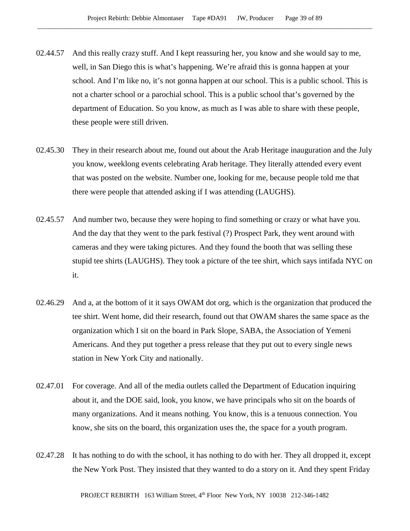- 02.44.57 And this really crazy stuff. And I kept reassuring her, you know and she would say to me, well, in San Diego this is what's happening. We're afraid this is gonna happen at your school. And I'm like no, it's not gonna happen at our school. This is a public school. This is not a charter school or a parochial school. This is a public school that's governed by the department of Education. So you know, as much as I was able to share with these people, these people were still driven.
- 02.45.30 They in their research about me, found out about the Arab Heritage inauguration and the July you know, weeklong events celebrating Arab heritage. They literally attended every event that was posted on the website. Number one, looking for me, because people told me that there were people that attended asking if I was attending (LAUGHS).
- 02.45.57 And number two, because they were hoping to find something or crazy or what have you. And the day that they went to the park festival (?) Prospect Park, they went around with cameras and they were taking pictures. And they found the booth that was selling these stupid tee shirts (LAUGHS). They took a picture of the tee shirt, which says intifada NYC on it.
- 02.46.29 And a, at the bottom of it it says OWAM dot org, which is the organization that produced the tee shirt. Went home, did their research, found out that OWAM shares the same space as the organization which I sit on the board in Park Slope, SABA, the Association of Yemeni Americans. And they put together a press release that they put out to every single news station in New York City and nationally.
- 02.47.01 For coverage. And all of the media outlets called the Department of Education inquiring about it, and the DOE said, look, you know, we have principals who sit on the boards of many organizations. And it means nothing. You know, this is a tenuous connection. You know, she sits on the board, this organization uses the, the space for a youth program.
- 02.47.28 It has nothing to do with the school, it has nothing to do with her. They all dropped it, except the New York Post. They insisted that they wanted to do a story on it. And they spent Friday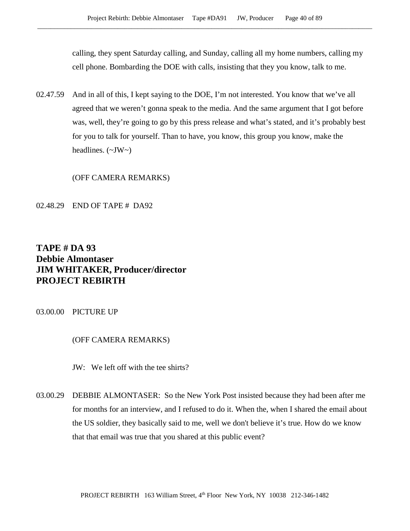calling, they spent Saturday calling, and Sunday, calling all my home numbers, calling my cell phone. Bombarding the DOE with calls, insisting that they you know, talk to me.

02.47.59 And in all of this, I kept saying to the DOE, I'm not interested. You know that we've all agreed that we weren't gonna speak to the media. And the same argument that I got before was, well, they're going to go by this press release and what's stated, and it's probably best for you to talk for yourself. Than to have, you know, this group you know, make the headlines.  $(\sim JW \sim)$ 

(OFF CAMERA REMARKS)

02.48.29 END OF TAPE # DA92

# **TAPE # DA 93 Debbie Almontaser JIM WHITAKER, Producer/director PROJECT REBIRTH**

03.00.00 PICTURE UP

# (OFF CAMERA REMARKS)

JW: We left off with the tee shirts?

03.00.29 DEBBIE ALMONTASER: So the New York Post insisted because they had been after me for months for an interview, and I refused to do it. When the, when I shared the email about the US soldier, they basically said to me, well we don't believe it's true. How do we know that that email was true that you shared at this public event?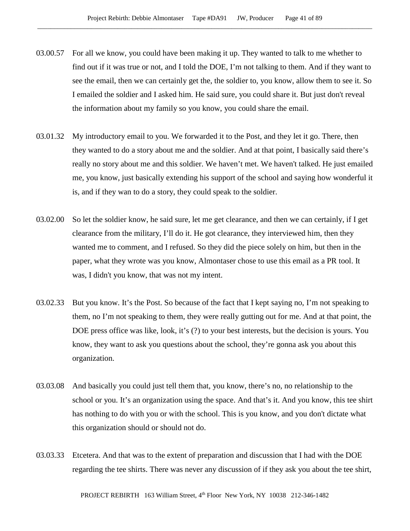- 03.00.57 For all we know, you could have been making it up. They wanted to talk to me whether to find out if it was true or not, and I told the DOE, I'm not talking to them. And if they want to see the email, then we can certainly get the, the soldier to, you know, allow them to see it. So I emailed the soldier and I asked him. He said sure, you could share it. But just don't reveal the information about my family so you know, you could share the email.
- 03.01.32 My introductory email to you. We forwarded it to the Post, and they let it go. There, then they wanted to do a story about me and the soldier. And at that point, I basically said there's really no story about me and this soldier. We haven't met. We haven't talked. He just emailed me, you know, just basically extending his support of the school and saying how wonderful it is, and if they wan to do a story, they could speak to the soldier.
- 03.02.00 So let the soldier know, he said sure, let me get clearance, and then we can certainly, if I get clearance from the military, I'll do it. He got clearance, they interviewed him, then they wanted me to comment, and I refused. So they did the piece solely on him, but then in the paper, what they wrote was you know, Almontaser chose to use this email as a PR tool. It was, I didn't you know, that was not my intent.
- 03.02.33 But you know. It's the Post. So because of the fact that I kept saying no, I'm not speaking to them, no I'm not speaking to them, they were really gutting out for me. And at that point, the DOE press office was like, look, it's (?) to your best interests, but the decision is yours. You know, they want to ask you questions about the school, they're gonna ask you about this organization.
- 03.03.08 And basically you could just tell them that, you know, there's no, no relationship to the school or you. It's an organization using the space. And that's it. And you know, this tee shirt has nothing to do with you or with the school. This is you know, and you don't dictate what this organization should or should not do.
- 03.03.33 Etcetera. And that was to the extent of preparation and discussion that I had with the DOE regarding the tee shirts. There was never any discussion of if they ask you about the tee shirt,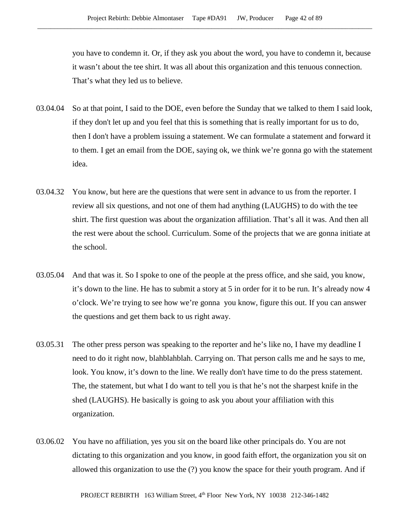you have to condemn it. Or, if they ask you about the word, you have to condemn it, because it wasn't about the tee shirt. It was all about this organization and this tenuous connection. That's what they led us to believe.

- 03.04.04 So at that point, I said to the DOE, even before the Sunday that we talked to them I said look, if they don't let up and you feel that this is something that is really important for us to do, then I don't have a problem issuing a statement. We can formulate a statement and forward it to them. I get an email from the DOE, saying ok, we think we're gonna go with the statement idea.
- 03.04.32 You know, but here are the questions that were sent in advance to us from the reporter. I review all six questions, and not one of them had anything (LAUGHS) to do with the tee shirt. The first question was about the organization affiliation. That's all it was. And then all the rest were about the school. Curriculum. Some of the projects that we are gonna initiate at the school.
- 03.05.04 And that was it. So I spoke to one of the people at the press office, and she said, you know, it's down to the line. He has to submit a story at 5 in order for it to be run. It's already now 4 o'clock. We're trying to see how we're gonna you know, figure this out. If you can answer the questions and get them back to us right away.
- 03.05.31 The other press person was speaking to the reporter and he's like no, I have my deadline I need to do it right now, blahblahblah. Carrying on. That person calls me and he says to me, look. You know, it's down to the line. We really don't have time to do the press statement. The, the statement, but what I do want to tell you is that he's not the sharpest knife in the shed (LAUGHS). He basically is going to ask you about your affiliation with this organization.
- 03.06.02 You have no affiliation, yes you sit on the board like other principals do. You are not dictating to this organization and you know, in good faith effort, the organization you sit on allowed this organization to use the (?) you know the space for their youth program. And if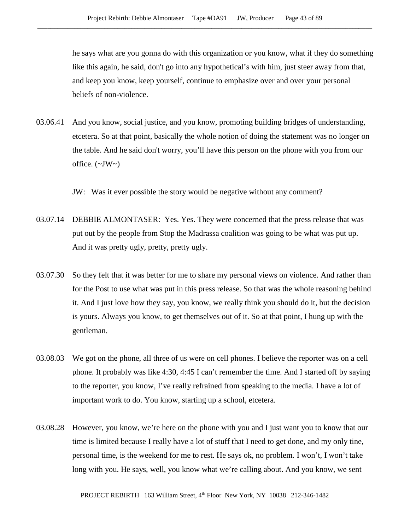he says what are you gonna do with this organization or you know, what if they do something like this again, he said, don't go into any hypothetical's with him, just steer away from that, and keep you know, keep yourself, continue to emphasize over and over your personal beliefs of non-violence.

03.06.41 And you know, social justice, and you know, promoting building bridges of understanding, etcetera. So at that point, basically the whole notion of doing the statement was no longer on the table. And he said don't worry, you'll have this person on the phone with you from our office.  $(\sim JW)$ 

JW: Was it ever possible the story would be negative without any comment?

- 03.07.14 DEBBIE ALMONTASER: Yes. Yes. They were concerned that the press release that was put out by the people from Stop the Madrassa coalition was going to be what was put up. And it was pretty ugly, pretty, pretty ugly.
- 03.07.30 So they felt that it was better for me to share my personal views on violence. And rather than for the Post to use what was put in this press release. So that was the whole reasoning behind it. And I just love how they say, you know, we really think you should do it, but the decision is yours. Always you know, to get themselves out of it. So at that point, I hung up with the gentleman.
- 03.08.03 We got on the phone, all three of us were on cell phones. I believe the reporter was on a cell phone. It probably was like 4:30, 4:45 I can't remember the time. And I started off by saying to the reporter, you know, I've really refrained from speaking to the media. I have a lot of important work to do. You know, starting up a school, etcetera.
- 03.08.28 However, you know, we're here on the phone with you and I just want you to know that our time is limited because I really have a lot of stuff that I need to get done, and my only tine, personal time, is the weekend for me to rest. He says ok, no problem. I won't, I won't take long with you. He says, well, you know what we're calling about. And you know, we sent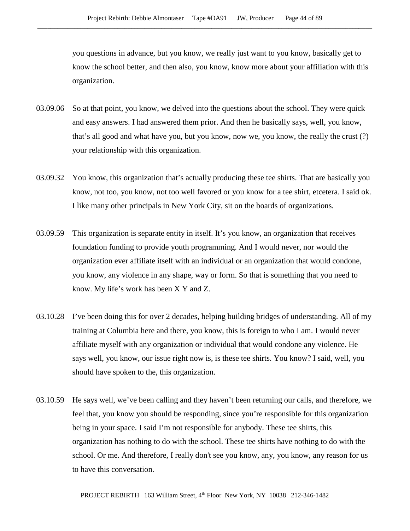you questions in advance, but you know, we really just want to you know, basically get to know the school better, and then also, you know, know more about your affiliation with this organization.

- 03.09.06 So at that point, you know, we delved into the questions about the school. They were quick and easy answers. I had answered them prior. And then he basically says, well, you know, that's all good and what have you, but you know, now we, you know, the really the crust (?) your relationship with this organization.
- 03.09.32 You know, this organization that's actually producing these tee shirts. That are basically you know, not too, you know, not too well favored or you know for a tee shirt, etcetera. I said ok. I like many other principals in New York City, sit on the boards of organizations.
- 03.09.59 This organization is separate entity in itself. It's you know, an organization that receives foundation funding to provide youth programming. And I would never, nor would the organization ever affiliate itself with an individual or an organization that would condone, you know, any violence in any shape, way or form. So that is something that you need to know. My life's work has been X Y and Z.
- 03.10.28 I've been doing this for over 2 decades, helping building bridges of understanding. All of my training at Columbia here and there, you know, this is foreign to who I am. I would never affiliate myself with any organization or individual that would condone any violence. He says well, you know, our issue right now is, is these tee shirts. You know? I said, well, you should have spoken to the, this organization.
- 03.10.59 He says well, we've been calling and they haven't been returning our calls, and therefore, we feel that, you know you should be responding, since you're responsible for this organization being in your space. I said I'm not responsible for anybody. These tee shirts, this organization has nothing to do with the school. These tee shirts have nothing to do with the school. Or me. And therefore, I really don't see you know, any, you know, any reason for us to have this conversation.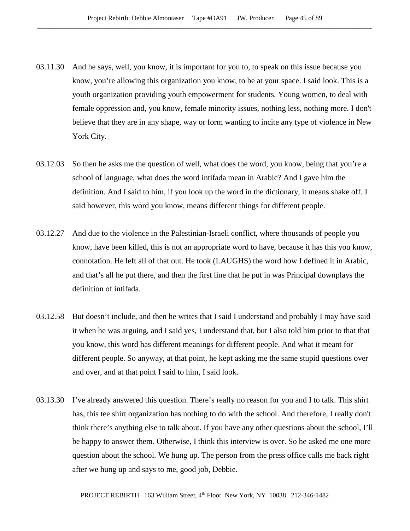- 03.11.30 And he says, well, you know, it is important for you to, to speak on this issue because you know, you're allowing this organization you know, to be at your space. I said look. This is a youth organization providing youth empowerment for students. Young women, to deal with female oppression and, you know, female minority issues, nothing less, nothing more. I don't believe that they are in any shape, way or form wanting to incite any type of violence in New York City.
- 03.12.03 So then he asks me the question of well, what does the word, you know, being that you're a school of language, what does the word intifada mean in Arabic? And I gave him the definition. And I said to him, if you look up the word in the dictionary, it means shake off. I said however, this word you know, means different things for different people.
- 03.12.27 And due to the violence in the Palestinian-Israeli conflict, where thousands of people you know, have been killed, this is not an appropriate word to have, because it has this you know, connotation. He left all of that out. He took (LAUGHS) the word how I defined it in Arabic, and that's all he put there, and then the first line that he put in was Principal downplays the definition of intifada.
- 03.12.58 But doesn't include, and then he writes that I said I understand and probably I may have said it when he was arguing, and I said yes, I understand that, but I also told him prior to that that you know, this word has different meanings for different people. And what it meant for different people. So anyway, at that point, he kept asking me the same stupid questions over and over, and at that point I said to him, I said look.
- 03.13.30 I've already answered this question. There's really no reason for you and I to talk. This shirt has, this tee shirt organization has nothing to do with the school. And therefore, I really don't think there's anything else to talk about. If you have any other questions about the school, I'll be happy to answer them. Otherwise, I think this interview is over. So he asked me one more question about the school. We hung up. The person from the press office calls me back right after we hung up and says to me, good job, Debbie.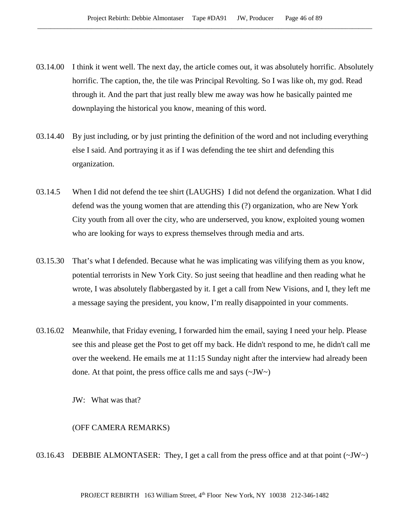- 03.14.00 I think it went well. The next day, the article comes out, it was absolutely horrific. Absolutely horrific. The caption, the, the tile was Principal Revolting. So I was like oh, my god. Read through it. And the part that just really blew me away was how he basically painted me downplaying the historical you know, meaning of this word.
- 03.14.40 By just including, or by just printing the definition of the word and not including everything else I said. And portraying it as if I was defending the tee shirt and defending this organization.
- 03.14.5 When I did not defend the tee shirt (LAUGHS) I did not defend the organization. What I did defend was the young women that are attending this (?) organization, who are New York City youth from all over the city, who are underserved, you know, exploited young women who are looking for ways to express themselves through media and arts.
- 03.15.30 That's what I defended. Because what he was implicating was vilifying them as you know, potential terrorists in New York City. So just seeing that headline and then reading what he wrote, I was absolutely flabbergasted by it. I get a call from New Visions, and I, they left me a message saying the president, you know, I'm really disappointed in your comments.
- 03.16.02 Meanwhile, that Friday evening, I forwarded him the email, saying I need your help. Please see this and please get the Post to get off my back. He didn't respond to me, he didn't call me over the weekend. He emails me at 11:15 Sunday night after the interview had already been done. At that point, the press office calls me and says  $(\sim JW)$

JW: What was that?

#### (OFF CAMERA REMARKS)

03.16.43 DEBBIE ALMONTASER: They, I get a call from the press office and at that point  $(\sim JW)$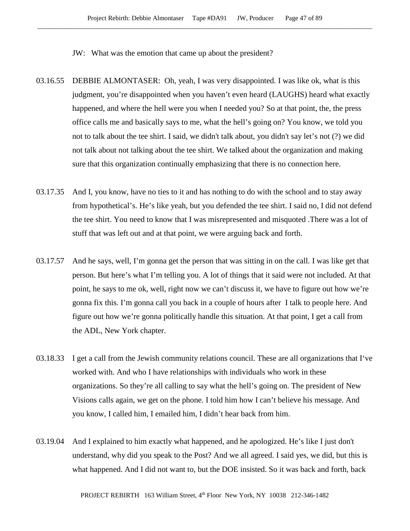JW: What was the emotion that came up about the president?

- 03.16.55 DEBBIE ALMONTASER: Oh, yeah, I was very disappointed. I was like ok, what is this judgment, you're disappointed when you haven't even heard (LAUGHS) heard what exactly happened, and where the hell were you when I needed you? So at that point, the, the press office calls me and basically says to me, what the hell's going on? You know, we told you not to talk about the tee shirt. I said, we didn't talk about, you didn't say let's not (?) we did not talk about not talking about the tee shirt. We talked about the organization and making sure that this organization continually emphasizing that there is no connection here.
- 03.17.35 And I, you know, have no ties to it and has nothing to do with the school and to stay away from hypothetical's. He's like yeah, but you defended the tee shirt. I said no, I did not defend the tee shirt. You need to know that I was misrepresented and misquoted .There was a lot of stuff that was left out and at that point, we were arguing back and forth.
- 03.17.57 And he says, well, I'm gonna get the person that was sitting in on the call. I was like get that person. But here's what I'm telling you. A lot of things that it said were not included. At that point, he says to me ok, well, right now we can't discuss it, we have to figure out how we're gonna fix this. I'm gonna call you back in a couple of hours after I talk to people here. And figure out how we're gonna politically handle this situation. At that point, I get a call from the ADL, New York chapter.
- 03.18.33 I get a call from the Jewish community relations council. These are all organizations that I've worked with. And who I have relationships with individuals who work in these organizations. So they're all calling to say what the hell's going on. The president of New Visions calls again, we get on the phone. I told him how I can't believe his message. And you know, I called him, I emailed him, I didn't hear back from him.
- 03.19.04 And I explained to him exactly what happened, and he apologized. He's like I just don't understand, why did you speak to the Post? And we all agreed. I said yes, we did, but this is what happened. And I did not want to, but the DOE insisted. So it was back and forth, back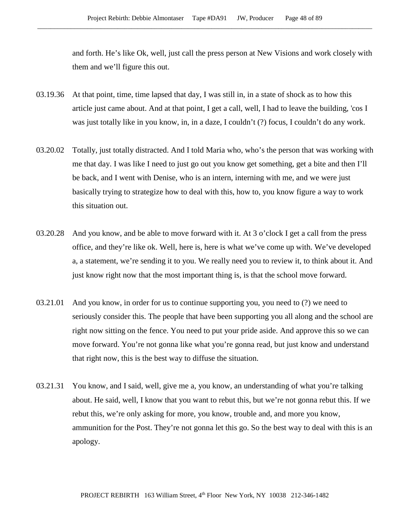and forth. He's like Ok, well, just call the press person at New Visions and work closely with them and we'll figure this out.

- 03.19.36 At that point, time, time lapsed that day, I was still in, in a state of shock as to how this article just came about. And at that point, I get a call, well, I had to leave the building, 'cos I was just totally like in you know, in, in a daze, I couldn't (?) focus, I couldn't do any work.
- 03.20.02 Totally, just totally distracted. And I told Maria who, who's the person that was working with me that day. I was like I need to just go out you know get something, get a bite and then I'll be back, and I went with Denise, who is an intern, interning with me, and we were just basically trying to strategize how to deal with this, how to, you know figure a way to work this situation out.
- 03.20.28 And you know, and be able to move forward with it. At 3 o'clock I get a call from the press office, and they're like ok. Well, here is, here is what we've come up with. We've developed a, a statement, we're sending it to you. We really need you to review it, to think about it. And just know right now that the most important thing is, is that the school move forward.
- 03.21.01 And you know, in order for us to continue supporting you, you need to (?) we need to seriously consider this. The people that have been supporting you all along and the school are right now sitting on the fence. You need to put your pride aside. And approve this so we can move forward. You're not gonna like what you're gonna read, but just know and understand that right now, this is the best way to diffuse the situation.
- 03.21.31 You know, and I said, well, give me a, you know, an understanding of what you're talking about. He said, well, I know that you want to rebut this, but we're not gonna rebut this. If we rebut this, we're only asking for more, you know, trouble and, and more you know, ammunition for the Post. They're not gonna let this go. So the best way to deal with this is an apology.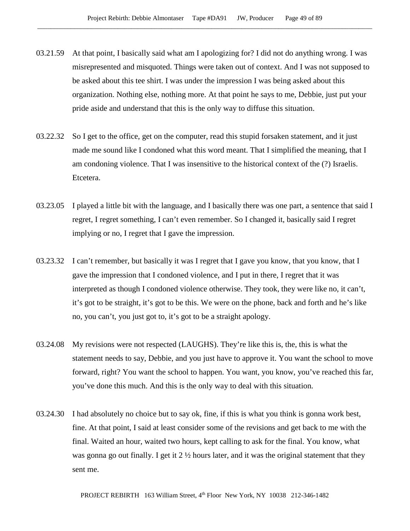- 03.21.59 At that point, I basically said what am I apologizing for? I did not do anything wrong. I was misrepresented and misquoted. Things were taken out of context. And I was not supposed to be asked about this tee shirt. I was under the impression I was being asked about this organization. Nothing else, nothing more. At that point he says to me, Debbie, just put your pride aside and understand that this is the only way to diffuse this situation.
- 03.22.32 So I get to the office, get on the computer, read this stupid forsaken statement, and it just made me sound like I condoned what this word meant. That I simplified the meaning, that I am condoning violence. That I was insensitive to the historical context of the (?) Israelis. Etcetera.
- 03.23.05 I played a little bit with the language, and I basically there was one part, a sentence that said I regret, I regret something, I can't even remember. So I changed it, basically said I regret implying or no, I regret that I gave the impression.
- 03.23.32 I can't remember, but basically it was I regret that I gave you know, that you know, that I gave the impression that I condoned violence, and I put in there, I regret that it was interpreted as though I condoned violence otherwise. They took, they were like no, it can't, it's got to be straight, it's got to be this. We were on the phone, back and forth and he's like no, you can't, you just got to, it's got to be a straight apology.
- 03.24.08 My revisions were not respected (LAUGHS). They're like this is, the, this is what the statement needs to say, Debbie, and you just have to approve it. You want the school to move forward, right? You want the school to happen. You want, you know, you've reached this far, you've done this much. And this is the only way to deal with this situation.
- 03.24.30 I had absolutely no choice but to say ok, fine, if this is what you think is gonna work best, fine. At that point, I said at least consider some of the revisions and get back to me with the final. Waited an hour, waited two hours, kept calling to ask for the final. You know, what was gonna go out finally. I get it 2 ½ hours later, and it was the original statement that they sent me.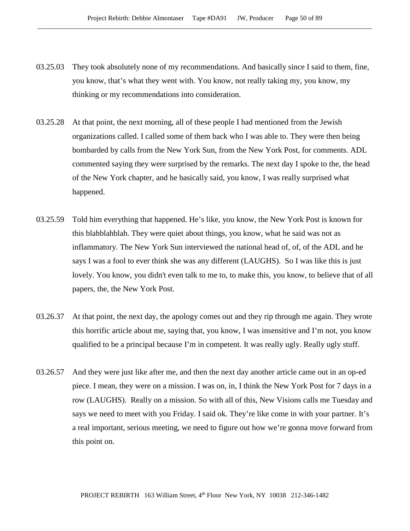- 03.25.03 They took absolutely none of my recommendations. And basically since I said to them, fine, you know, that's what they went with. You know, not really taking my, you know, my thinking or my recommendations into consideration.
- 03.25.28 At that point, the next morning, all of these people I had mentioned from the Jewish organizations called. I called some of them back who I was able to. They were then being bombarded by calls from the New York Sun, from the New York Post, for comments. ADL commented saying they were surprised by the remarks. The next day I spoke to the, the head of the New York chapter, and he basically said, you know, I was really surprised what happened.
- 03.25.59 Told him everything that happened. He's like, you know, the New York Post is known for this blahblahblah. They were quiet about things, you know, what he said was not as inflammatory. The New York Sun interviewed the national head of, of, of the ADL and he says I was a fool to ever think she was any different (LAUGHS). So I was like this is just lovely. You know, you didn't even talk to me to, to make this, you know, to believe that of all papers, the, the New York Post.
- 03.26.37 At that point, the next day, the apology comes out and they rip through me again. They wrote this horrific article about me, saying that, you know, I was insensitive and I'm not, you know qualified to be a principal because I'm in competent. It was really ugly. Really ugly stuff.
- 03.26.57 And they were just like after me, and then the next day another article came out in an op-ed piece. I mean, they were on a mission. I was on, in, I think the New York Post for 7 days in a row (LAUGHS). Really on a mission. So with all of this, New Visions calls me Tuesday and says we need to meet with you Friday. I said ok. They're like come in with your partner. It's a real important, serious meeting, we need to figure out how we're gonna move forward from this point on.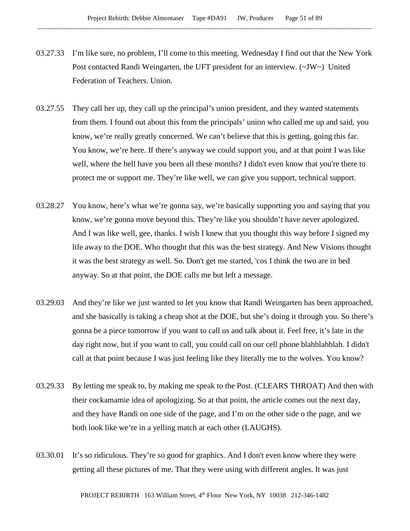- 03.27.33 I'm like sure, no problem, I'll come to this meeting. Wednesday I find out that the New York Post contacted Randi Weingarten, the UFT president for an interview.  $(\sim JW \sim)$  United Federation of Teachers. Union.
- 03.27.55 They call her up, they call up the principal's union president, and they wanted statements from them. I found out about this from the principals' union who called me up and said, you know, we're really greatly concerned. We can't believe that this is getting, going this far. You know, we're here. If there's anyway we could support you, and at that point I was like well, where the hell have you been all these months? I didn't even know that you're there to protect me or support me. They're like well, we can give you support, technical support.
- 03.28.27 You know, here's what we're gonna say, we're basically supporting you and saying that you know, we're gonna move beyond this. They're like you shouldn't have never apologized. And I was like well, gee, thanks. I wish I knew that you thought this way before I signed my life away to the DOE. Who thought that this was the best strategy. And New Visions thought it was the best strategy as well. So. Don't get me started, 'cos I think the two are in bed anyway. So at that point, the DOE calls me but left a message.
- 03.29.03 And they're like we just wanted to let you know that Randi Weingarten has been approached, and she basically is taking a cheap shot at the DOE, but she's doing it through you. So there's gonna be a piece tomorrow if you want to call us and talk about it. Feel free, it's late in the day right now, but if you want to call, you could call on our cell phone blahblahblah. I didn't call at that point because I was just feeling like they literally me to the wolves. You know?
- 03.29.33 By letting me speak to, by making me speak to the Post. (CLEARS THROAT) And then with their cockamamie idea of apologizing. So at that point, the article comes out the next day, and they have Randi on one side of the page, and I'm on the other side o the page, and we both look like we're in a yelling match at each other (LAUGHS).
- 03.30.01 It's so ridiculous. They're so good for graphics. And I don't even know where they were getting all these pictures of me. That they were using with different angles. It was just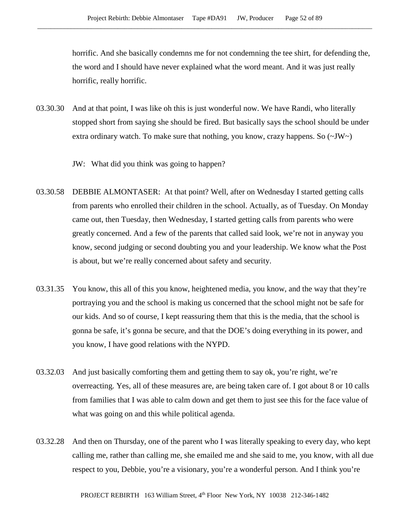horrific. And she basically condemns me for not condemning the tee shirt, for defending the, the word and I should have never explained what the word meant. And it was just really horrific, really horrific.

- 03.30.30 And at that point, I was like oh this is just wonderful now. We have Randi, who literally stopped short from saying she should be fired. But basically says the school should be under extra ordinary watch. To make sure that nothing, you know, crazy happens. So  $(\sim JW)$ 
	- JW: What did you think was going to happen?
- 03.30.58 DEBBIE ALMONTASER: At that point? Well, after on Wednesday I started getting calls from parents who enrolled their children in the school. Actually, as of Tuesday. On Monday came out, then Tuesday, then Wednesday, I started getting calls from parents who were greatly concerned. And a few of the parents that called said look, we're not in anyway you know, second judging or second doubting you and your leadership. We know what the Post is about, but we're really concerned about safety and security.
- 03.31.35 You know, this all of this you know, heightened media, you know, and the way that they're portraying you and the school is making us concerned that the school might not be safe for our kids. And so of course, I kept reassuring them that this is the media, that the school is gonna be safe, it's gonna be secure, and that the DOE's doing everything in its power, and you know, I have good relations with the NYPD.
- 03.32.03 And just basically comforting them and getting them to say ok, you're right, we're overreacting. Yes, all of these measures are, are being taken care of. I got about 8 or 10 calls from families that I was able to calm down and get them to just see this for the face value of what was going on and this while political agenda.
- 03.32.28 And then on Thursday, one of the parent who I was literally speaking to every day, who kept calling me, rather than calling me, she emailed me and she said to me, you know, with all due respect to you, Debbie, you're a visionary, you're a wonderful person. And I think you're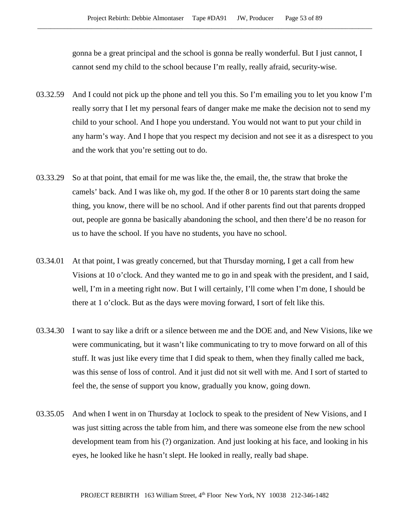gonna be a great principal and the school is gonna be really wonderful. But I just cannot, I cannot send my child to the school because I'm really, really afraid, security-wise.

- 03.32.59 And I could not pick up the phone and tell you this. So I'm emailing you to let you know I'm really sorry that I let my personal fears of danger make me make the decision not to send my child to your school. And I hope you understand. You would not want to put your child in any harm's way. And I hope that you respect my decision and not see it as a disrespect to you and the work that you're setting out to do.
- 03.33.29 So at that point, that email for me was like the, the email, the, the straw that broke the camels' back. And I was like oh, my god. If the other 8 or 10 parents start doing the same thing, you know, there will be no school. And if other parents find out that parents dropped out, people are gonna be basically abandoning the school, and then there'd be no reason for us to have the school. If you have no students, you have no school.
- 03.34.01 At that point, I was greatly concerned, but that Thursday morning, I get a call from hew Visions at 10 o'clock. And they wanted me to go in and speak with the president, and I said, well, I'm in a meeting right now. But I will certainly, I'll come when I'm done, I should be there at 1 o'clock. But as the days were moving forward, I sort of felt like this.
- 03.34.30 I want to say like a drift or a silence between me and the DOE and, and New Visions, like we were communicating, but it wasn't like communicating to try to move forward on all of this stuff. It was just like every time that I did speak to them, when they finally called me back, was this sense of loss of control. And it just did not sit well with me. And I sort of started to feel the, the sense of support you know, gradually you know, going down.
- 03.35.05 And when I went in on Thursday at 1 oclock to speak to the president of New Visions, and I was just sitting across the table from him, and there was someone else from the new school development team from his (?) organization. And just looking at his face, and looking in his eyes, he looked like he hasn't slept. He looked in really, really bad shape.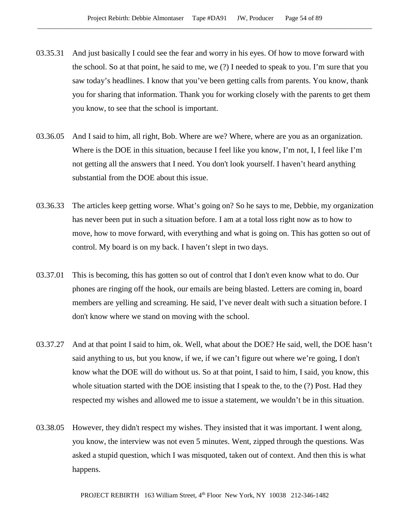- 03.35.31 And just basically I could see the fear and worry in his eyes. Of how to move forward with the school. So at that point, he said to me, we (?) I needed to speak to you. I'm sure that you saw today's headlines. I know that you've been getting calls from parents. You know, thank you for sharing that information. Thank you for working closely with the parents to get them you know, to see that the school is important.
- 03.36.05 And I said to him, all right, Bob. Where are we? Where, where are you as an organization. Where is the DOE in this situation, because I feel like you know, I'm not, I, I feel like I'm not getting all the answers that I need. You don't look yourself. I haven't heard anything substantial from the DOE about this issue.
- 03.36.33 The articles keep getting worse. What's going on? So he says to me, Debbie, my organization has never been put in such a situation before. I am at a total loss right now as to how to move, how to move forward, with everything and what is going on. This has gotten so out of control. My board is on my back. I haven't slept in two days.
- 03.37.01 This is becoming, this has gotten so out of control that I don't even know what to do. Our phones are ringing off the hook, our emails are being blasted. Letters are coming in, board members are yelling and screaming. He said, I've never dealt with such a situation before. I don't know where we stand on moving with the school.
- 03.37.27 And at that point I said to him, ok. Well, what about the DOE? He said, well, the DOE hasn't said anything to us, but you know, if we, if we can't figure out where we're going, I don't know what the DOE will do without us. So at that point, I said to him, I said, you know, this whole situation started with the DOE insisting that I speak to the, to the (?) Post. Had they respected my wishes and allowed me to issue a statement, we wouldn't be in this situation.
- 03.38.05 However, they didn't respect my wishes. They insisted that it was important. I went along, you know, the interview was not even 5 minutes. Went, zipped through the questions. Was asked a stupid question, which I was misquoted, taken out of context. And then this is what happens.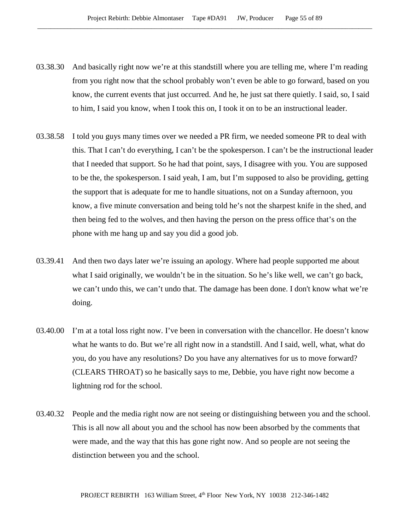- 03.38.30 And basically right now we're at this standstill where you are telling me, where I'm reading from you right now that the school probably won't even be able to go forward, based on you know, the current events that just occurred. And he, he just sat there quietly. I said, so, I said to him, I said you know, when I took this on, I took it on to be an instructional leader.
- 03.38.58 I told you guys many times over we needed a PR firm, we needed someone PR to deal with this. That I can't do everything, I can't be the spokesperson. I can't be the instructional leader that I needed that support. So he had that point, says, I disagree with you. You are supposed to be the, the spokesperson. I said yeah, I am, but I'm supposed to also be providing, getting the support that is adequate for me to handle situations, not on a Sunday afternoon, you know, a five minute conversation and being told he's not the sharpest knife in the shed, and then being fed to the wolves, and then having the person on the press office that's on the phone with me hang up and say you did a good job.
- 03.39.41 And then two days later we're issuing an apology. Where had people supported me about what I said originally, we wouldn't be in the situation. So he's like well, we can't go back, we can't undo this, we can't undo that. The damage has been done. I don't know what we're doing.
- 03.40.00 I'm at a total loss right now. I've been in conversation with the chancellor. He doesn't know what he wants to do. But we're all right now in a standstill. And I said, well, what, what do you, do you have any resolutions? Do you have any alternatives for us to move forward? (CLEARS THROAT) so he basically says to me, Debbie, you have right now become a lightning rod for the school.
- 03.40.32 People and the media right now are not seeing or distinguishing between you and the school. This is all now all about you and the school has now been absorbed by the comments that were made, and the way that this has gone right now. And so people are not seeing the distinction between you and the school.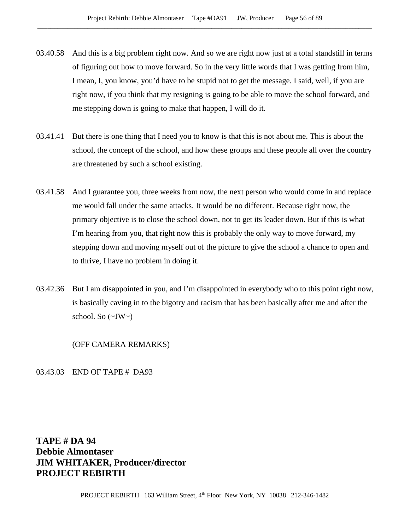- 03.40.58 And this is a big problem right now. And so we are right now just at a total standstill in terms of figuring out how to move forward. So in the very little words that I was getting from him, I mean, I, you know, you'd have to be stupid not to get the message. I said, well, if you are right now, if you think that my resigning is going to be able to move the school forward, and me stepping down is going to make that happen, I will do it.
- 03.41.41 But there is one thing that I need you to know is that this is not about me. This is about the school, the concept of the school, and how these groups and these people all over the country are threatened by such a school existing.
- 03.41.58 And I guarantee you, three weeks from now, the next person who would come in and replace me would fall under the same attacks. It would be no different. Because right now, the primary objective is to close the school down, not to get its leader down. But if this is what I'm hearing from you, that right now this is probably the only way to move forward, my stepping down and moving myself out of the picture to give the school a chance to open and to thrive, I have no problem in doing it.
- 03.42.36 But I am disappointed in you, and I'm disappointed in everybody who to this point right now, is basically caving in to the bigotry and racism that has been basically after me and after the school. So  $(\sim JW)$

(OFF CAMERA REMARKS)

03.43.03 END OF TAPE # DA93

**TAPE # DA 94 Debbie Almontaser JIM WHITAKER, Producer/director PROJECT REBIRTH**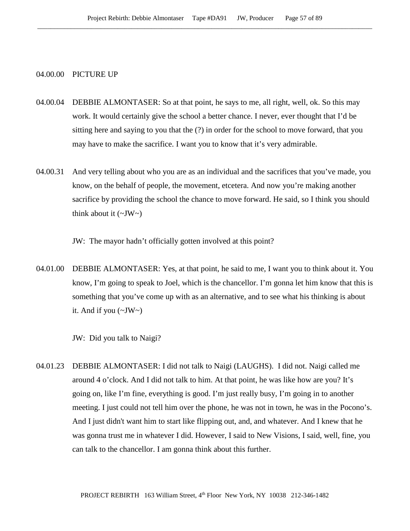## 04.00.00 PICTURE UP

- 04.00.04 DEBBIE ALMONTASER: So at that point, he says to me, all right, well, ok. So this may work. It would certainly give the school a better chance. I never, ever thought that I'd be sitting here and saying to you that the (?) in order for the school to move forward, that you may have to make the sacrifice. I want you to know that it's very admirable.
- 04.00.31 And very telling about who you are as an individual and the sacrifices that you've made, you know, on the behalf of people, the movement, etcetera. And now you're making another sacrifice by providing the school the chance to move forward. He said, so I think you should think about it  $(\sim JW)$

JW: The mayor hadn't officially gotten involved at this point?

04.01.00 DEBBIE ALMONTASER: Yes, at that point, he said to me, I want you to think about it. You know, I'm going to speak to Joel, which is the chancellor. I'm gonna let him know that this is something that you've come up with as an alternative, and to see what his thinking is about it. And if you  $(\sim JW \sim)$ 

JW: Did you talk to Naigi?

04.01.23 DEBBIE ALMONTASER: I did not talk to Naigi (LAUGHS). I did not. Naigi called me around 4 o'clock. And I did not talk to him. At that point, he was like how are you? It's going on, like I'm fine, everything is good. I'm just really busy, I'm going in to another meeting. I just could not tell him over the phone, he was not in town, he was in the Pocono's. And I just didn't want him to start like flipping out, and, and whatever. And I knew that he was gonna trust me in whatever I did. However, I said to New Visions, I said, well, fine, you can talk to the chancellor. I am gonna think about this further.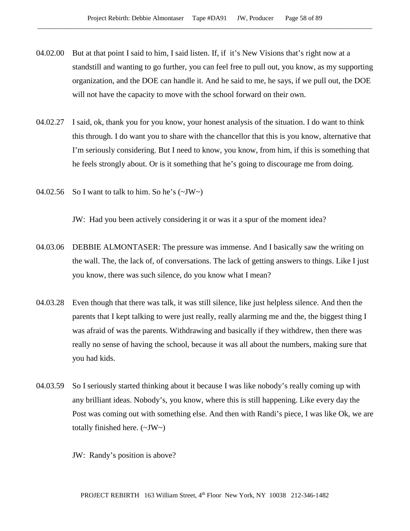- 04.02.00 But at that point I said to him, I said listen. If, if it's New Visions that's right now at a standstill and wanting to go further, you can feel free to pull out, you know, as my supporting organization, and the DOE can handle it. And he said to me, he says, if we pull out, the DOE will not have the capacity to move with the school forward on their own.
- 04.02.27 I said, ok, thank you for you know, your honest analysis of the situation. I do want to think this through. I do want you to share with the chancellor that this is you know, alternative that I'm seriously considering. But I need to know, you know, from him, if this is something that he feels strongly about. Or is it something that he's going to discourage me from doing.
- 04.02.56 So I want to talk to him. So he's  $(\sim JW)$

JW: Had you been actively considering it or was it a spur of the moment idea?

- 04.03.06 DEBBIE ALMONTASER: The pressure was immense. And I basically saw the writing on the wall. The, the lack of, of conversations. The lack of getting answers to things. Like I just you know, there was such silence, do you know what I mean?
- 04.03.28 Even though that there was talk, it was still silence, like just helpless silence. And then the parents that I kept talking to were just really, really alarming me and the, the biggest thing I was afraid of was the parents. Withdrawing and basically if they withdrew, then there was really no sense of having the school, because it was all about the numbers, making sure that you had kids.
- 04.03.59 So I seriously started thinking about it because I was like nobody's really coming up with any brilliant ideas. Nobody's, you know, where this is still happening. Like every day the Post was coming out with something else. And then with Randi's piece, I was like Ok, we are totally finished here. (~JW~)

JW: Randy's position is above?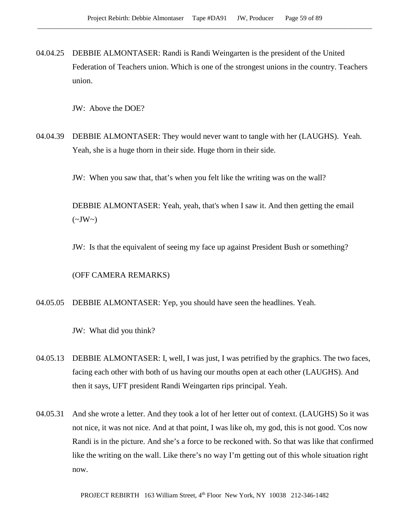04.04.25 DEBBIE ALMONTASER: Randi is Randi Weingarten is the president of the United Federation of Teachers union. Which is one of the strongest unions in the country. Teachers union.

JW: Above the DOE?

04.04.39 DEBBIE ALMONTASER: They would never want to tangle with her (LAUGHS). Yeah. Yeah, she is a huge thorn in their side. Huge thorn in their side.

JW: When you saw that, that's when you felt like the writing was on the wall?

DEBBIE ALMONTASER: Yeah, yeah, that's when I saw it. And then getting the email  $(\sim JW \sim)$ 

JW: Is that the equivalent of seeing my face up against President Bush or something?

(OFF CAMERA REMARKS)

04.05.05 DEBBIE ALMONTASER: Yep, you should have seen the headlines. Yeah.

JW: What did you think?

- 04.05.13 DEBBIE ALMONTASER: I, well, I was just, I was petrified by the graphics. The two faces, facing each other with both of us having our mouths open at each other (LAUGHS). And then it says, UFT president Randi Weingarten rips principal. Yeah.
- 04.05.31 And she wrote a letter. And they took a lot of her letter out of context. (LAUGHS) So it was not nice, it was not nice. And at that point, I was like oh, my god, this is not good. 'Cos now Randi is in the picture. And she's a force to be reckoned with. So that was like that confirmed like the writing on the wall. Like there's no way I'm getting out of this whole situation right now.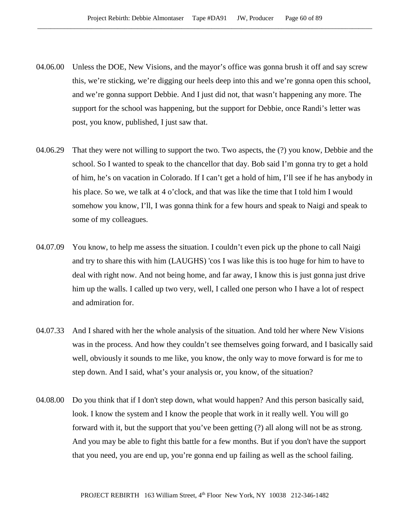- 04.06.00 Unless the DOE, New Visions, and the mayor's office was gonna brush it off and say screw this, we're sticking, we're digging our heels deep into this and we're gonna open this school, and we're gonna support Debbie. And I just did not, that wasn't happening any more. The support for the school was happening, but the support for Debbie, once Randi's letter was post, you know, published, I just saw that.
- 04.06.29 That they were not willing to support the two. Two aspects, the (?) you know, Debbie and the school. So I wanted to speak to the chancellor that day. Bob said I'm gonna try to get a hold of him, he's on vacation in Colorado. If I can't get a hold of him, I'll see if he has anybody in his place. So we, we talk at 4 o'clock, and that was like the time that I told him I would somehow you know, I'll, I was gonna think for a few hours and speak to Naigi and speak to some of my colleagues.
- 04.07.09 You know, to help me assess the situation. I couldn't even pick up the phone to call Naigi and try to share this with him (LAUGHS) 'cos I was like this is too huge for him to have to deal with right now. And not being home, and far away, I know this is just gonna just drive him up the walls. I called up two very, well, I called one person who I have a lot of respect and admiration for.
- 04.07.33 And I shared with her the whole analysis of the situation. And told her where New Visions was in the process. And how they couldn't see themselves going forward, and I basically said well, obviously it sounds to me like, you know, the only way to move forward is for me to step down. And I said, what's your analysis or, you know, of the situation?
- 04.08.00 Do you think that if I don't step down, what would happen? And this person basically said, look. I know the system and I know the people that work in it really well. You will go forward with it, but the support that you've been getting (?) all along will not be as strong. And you may be able to fight this battle for a few months. But if you don't have the support that you need, you are end up, you're gonna end up failing as well as the school failing.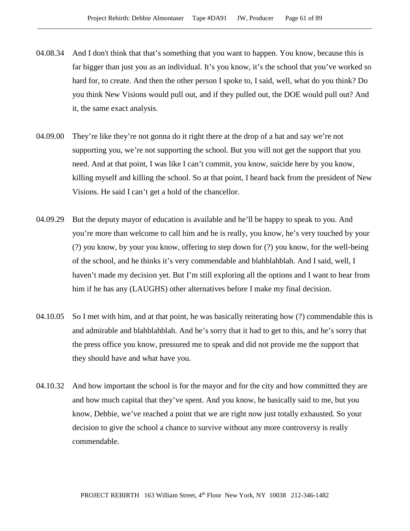- 04.08.34 And I don't think that that's something that you want to happen. You know, because this is far bigger than just you as an individual. It's you know, it's the school that you've worked so hard for, to create. And then the other person I spoke to, I said, well, what do you think? Do you think New Visions would pull out, and if they pulled out, the DOE would pull out? And it, the same exact analysis.
- 04.09.00 They're like they're not gonna do it right there at the drop of a hat and say we're not supporting you, we're not supporting the school. But you will not get the support that you need. And at that point, I was like I can't commit, you know, suicide here by you know, killing myself and killing the school. So at that point, I heard back from the president of New Visions. He said I can't get a hold of the chancellor.
- 04.09.29 But the deputy mayor of education is available and he'll be happy to speak to you. And you're more than welcome to call him and he is really, you know, he's very touched by your (?) you know, by your you know, offering to step down for (?) you know, for the well-being of the school, and he thinks it's very commendable and blahblahblah. And I said, well, I haven't made my decision yet. But I'm still exploring all the options and I want to hear from him if he has any (LAUGHS) other alternatives before I make my final decision.
- 04.10.05 So I met with him, and at that point, he was basically reiterating how (?) commendable this is and admirable and blahblahblah. And he's sorry that it had to get to this, and he's sorry that the press office you know, pressured me to speak and did not provide me the support that they should have and what have you.
- 04.10.32 And how important the school is for the mayor and for the city and how committed they are and how much capital that they've spent. And you know, he basically said to me, but you know, Debbie, we've reached a point that we are right now just totally exhausted. So your decision to give the school a chance to survive without any more controversy is really commendable.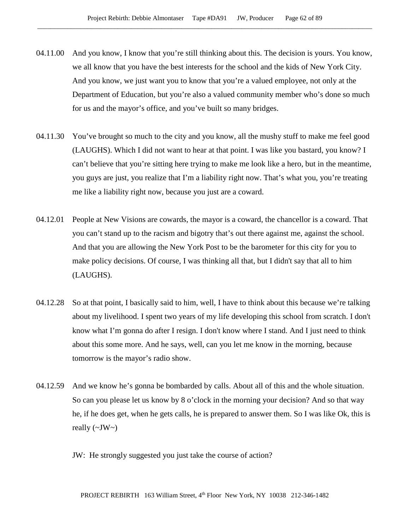- 04.11.00 And you know, I know that you're still thinking about this. The decision is yours. You know, we all know that you have the best interests for the school and the kids of New York City. And you know, we just want you to know that you're a valued employee, not only at the Department of Education, but you're also a valued community member who's done so much for us and the mayor's office, and you've built so many bridges.
- 04.11.30 You've brought so much to the city and you know, all the mushy stuff to make me feel good (LAUGHS). Which I did not want to hear at that point. I was like you bastard, you know? I can't believe that you're sitting here trying to make me look like a hero, but in the meantime, you guys are just, you realize that I'm a liability right now. That's what you, you're treating me like a liability right now, because you just are a coward.
- 04.12.01 People at New Visions are cowards, the mayor is a coward, the chancellor is a coward. That you can't stand up to the racism and bigotry that's out there against me, against the school. And that you are allowing the New York Post to be the barometer for this city for you to make policy decisions. Of course, I was thinking all that, but I didn't say that all to him (LAUGHS).
- 04.12.28 So at that point, I basically said to him, well, I have to think about this because we're talking about my livelihood. I spent two years of my life developing this school from scratch. I don't know what I'm gonna do after I resign. I don't know where I stand. And I just need to think about this some more. And he says, well, can you let me know in the morning, because tomorrow is the mayor's radio show.
- 04.12.59 And we know he's gonna be bombarded by calls. About all of this and the whole situation. So can you please let us know by 8 o'clock in the morning your decision? And so that way he, if he does get, when he gets calls, he is prepared to answer them. So I was like Ok, this is really  $(\sim JW \sim)$ 
	- JW: He strongly suggested you just take the course of action?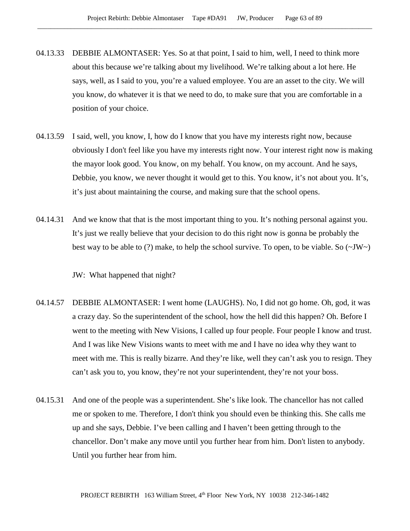- 04.13.33 DEBBIE ALMONTASER: Yes. So at that point, I said to him, well, I need to think more about this because we're talking about my livelihood. We're talking about a lot here. He says, well, as I said to you, you're a valued employee. You are an asset to the city. We will you know, do whatever it is that we need to do, to make sure that you are comfortable in a position of your choice.
- 04.13.59 I said, well, you know, I, how do I know that you have my interests right now, because obviously I don't feel like you have my interests right now. Your interest right now is making the mayor look good. You know, on my behalf. You know, on my account. And he says, Debbie, you know, we never thought it would get to this. You know, it's not about you. It's, it's just about maintaining the course, and making sure that the school opens.
- 04.14.31 And we know that that is the most important thing to you. It's nothing personal against you. It's just we really believe that your decision to do this right now is gonna be probably the best way to be able to (?) make, to help the school survive. To open, to be viable. So  $(\sim JW)$

JW: What happened that night?

- 04.14.57 DEBBIE ALMONTASER: I went home (LAUGHS). No, I did not go home. Oh, god, it was a crazy day. So the superintendent of the school, how the hell did this happen? Oh. Before I went to the meeting with New Visions, I called up four people. Four people I know and trust. And I was like New Visions wants to meet with me and I have no idea why they want to meet with me. This is really bizarre. And they're like, well they can't ask you to resign. They can't ask you to, you know, they're not your superintendent, they're not your boss.
- 04.15.31 And one of the people was a superintendent. She's like look. The chancellor has not called me or spoken to me. Therefore, I don't think you should even be thinking this. She calls me up and she says, Debbie. I've been calling and I haven't been getting through to the chancellor. Don't make any move until you further hear from him. Don't listen to anybody. Until you further hear from him.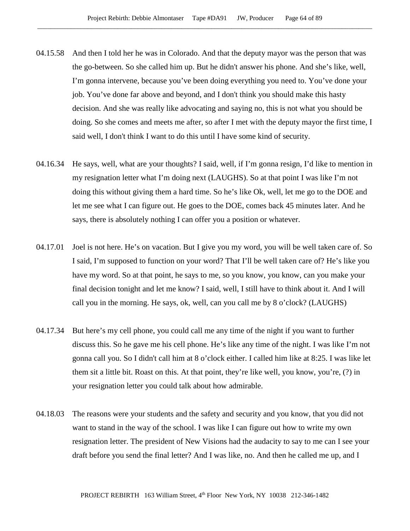- 04.15.58 And then I told her he was in Colorado. And that the deputy mayor was the person that was the go-between. So she called him up. But he didn't answer his phone. And she's like, well, I'm gonna intervene, because you've been doing everything you need to. You've done your job. You've done far above and beyond, and I don't think you should make this hasty decision. And she was really like advocating and saying no, this is not what you should be doing. So she comes and meets me after, so after I met with the deputy mayor the first time, I said well, I don't think I want to do this until I have some kind of security.
- 04.16.34 He says, well, what are your thoughts? I said, well, if I'm gonna resign, I'd like to mention in my resignation letter what I'm doing next (LAUGHS). So at that point I was like I'm not doing this without giving them a hard time. So he's like Ok, well, let me go to the DOE and let me see what I can figure out. He goes to the DOE, comes back 45 minutes later. And he says, there is absolutely nothing I can offer you a position or whatever.
- 04.17.01 Joel is not here. He's on vacation. But I give you my word, you will be well taken care of. So I said, I'm supposed to function on your word? That I'll be well taken care of? He's like you have my word. So at that point, he says to me, so you know, you know, can you make your final decision tonight and let me know? I said, well, I still have to think about it. And I will call you in the morning. He says, ok, well, can you call me by 8 o'clock? (LAUGHS)
- 04.17.34 But here's my cell phone, you could call me any time of the night if you want to further discuss this. So he gave me his cell phone. He's like any time of the night. I was like I'm not gonna call you. So I didn't call him at 8 o'clock either. I called him like at 8:25. I was like let them sit a little bit. Roast on this. At that point, they're like well, you know, you're, (?) in your resignation letter you could talk about how admirable.
- 04.18.03 The reasons were your students and the safety and security and you know, that you did not want to stand in the way of the school. I was like I can figure out how to write my own resignation letter. The president of New Visions had the audacity to say to me can I see your draft before you send the final letter? And I was like, no. And then he called me up, and I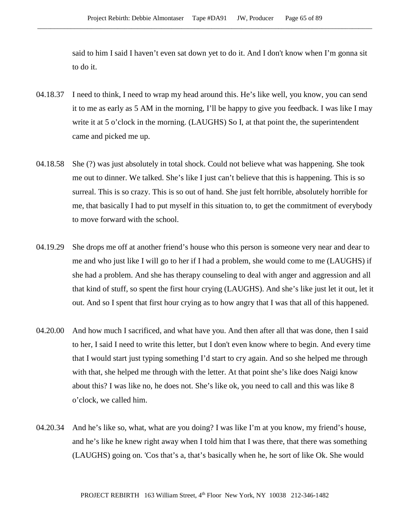said to him I said I haven't even sat down yet to do it. And I don't know when I'm gonna sit to do it.

- 04.18.37 I need to think, I need to wrap my head around this. He's like well, you know, you can send it to me as early as 5 AM in the morning, I'll be happy to give you feedback. I was like I may write it at 5 o'clock in the morning. (LAUGHS) So I, at that point the, the superintendent came and picked me up.
- 04.18.58 She (?) was just absolutely in total shock. Could not believe what was happening. She took me out to dinner. We talked. She's like I just can't believe that this is happening. This is so surreal. This is so crazy. This is so out of hand. She just felt horrible, absolutely horrible for me, that basically I had to put myself in this situation to, to get the commitment of everybody to move forward with the school.
- 04.19.29 She drops me off at another friend's house who this person is someone very near and dear to me and who just like I will go to her if I had a problem, she would come to me (LAUGHS) if she had a problem. And she has therapy counseling to deal with anger and aggression and all that kind of stuff, so spent the first hour crying (LAUGHS). And she's like just let it out, let it out. And so I spent that first hour crying as to how angry that I was that all of this happened.
- 04.20.00 And how much I sacrificed, and what have you. And then after all that was done, then I said to her, I said I need to write this letter, but I don't even know where to begin. And every time that I would start just typing something I'd start to cry again. And so she helped me through with that, she helped me through with the letter. At that point she's like does Naigi know about this? I was like no, he does not. She's like ok, you need to call and this was like 8 o'clock, we called him.
- 04.20.34 And he's like so, what, what are you doing? I was like I'm at you know, my friend's house, and he's like he knew right away when I told him that I was there, that there was something (LAUGHS) going on. 'Cos that's a, that's basically when he, he sort of like Ok. She would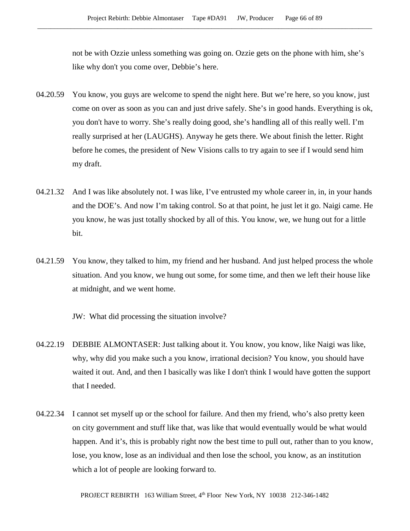not be with Ozzie unless something was going on. Ozzie gets on the phone with him, she's like why don't you come over, Debbie's here.

- 04.20.59 You know, you guys are welcome to spend the night here. But we're here, so you know, just come on over as soon as you can and just drive safely. She's in good hands. Everything is ok, you don't have to worry. She's really doing good, she's handling all of this really well. I'm really surprised at her (LAUGHS). Anyway he gets there. We about finish the letter. Right before he comes, the president of New Visions calls to try again to see if I would send him my draft.
- 04.21.32 And I was like absolutely not. I was like, I've entrusted my whole career in, in, in your hands and the DOE's. And now I'm taking control. So at that point, he just let it go. Naigi came. He you know, he was just totally shocked by all of this. You know, we, we hung out for a little bit.
- 04.21.59 You know, they talked to him, my friend and her husband. And just helped process the whole situation. And you know, we hung out some, for some time, and then we left their house like at midnight, and we went home.

JW: What did processing the situation involve?

- 04.22.19 DEBBIE ALMONTASER: Just talking about it. You know, you know, like Naigi was like, why, why did you make such a you know, irrational decision? You know, you should have waited it out. And, and then I basically was like I don't think I would have gotten the support that I needed.
- 04.22.34 I cannot set myself up or the school for failure. And then my friend, who's also pretty keen on city government and stuff like that, was like that would eventually would be what would happen. And it's, this is probably right now the best time to pull out, rather than to you know, lose, you know, lose as an individual and then lose the school, you know, as an institution which a lot of people are looking forward to.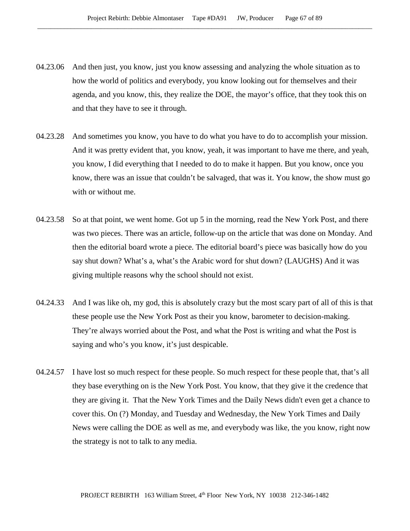- 04.23.06 And then just, you know, just you know assessing and analyzing the whole situation as to how the world of politics and everybody, you know looking out for themselves and their agenda, and you know, this, they realize the DOE, the mayor's office, that they took this on and that they have to see it through.
- 04.23.28 And sometimes you know, you have to do what you have to do to accomplish your mission. And it was pretty evident that, you know, yeah, it was important to have me there, and yeah, you know, I did everything that I needed to do to make it happen. But you know, once you know, there was an issue that couldn't be salvaged, that was it. You know, the show must go with or without me.
- 04.23.58 So at that point, we went home. Got up 5 in the morning, read the New York Post, and there was two pieces. There was an article, follow-up on the article that was done on Monday. And then the editorial board wrote a piece. The editorial board's piece was basically how do you say shut down? What's a, what's the Arabic word for shut down? (LAUGHS) And it was giving multiple reasons why the school should not exist.
- 04.24.33 And I was like oh, my god, this is absolutely crazy but the most scary part of all of this is that these people use the New York Post as their you know, barometer to decision-making. They're always worried about the Post, and what the Post is writing and what the Post is saying and who's you know, it's just despicable.
- 04.24.57 I have lost so much respect for these people. So much respect for these people that, that's all they base everything on is the New York Post. You know, that they give it the credence that they are giving it. That the New York Times and the Daily News didn't even get a chance to cover this. On (?) Monday, and Tuesday and Wednesday, the New York Times and Daily News were calling the DOE as well as me, and everybody was like, the you know, right now the strategy is not to talk to any media.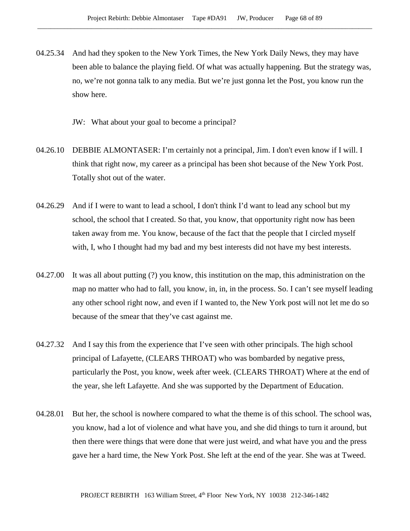- 04.25.34 And had they spoken to the New York Times, the New York Daily News, they may have been able to balance the playing field. Of what was actually happening. But the strategy was, no, we're not gonna talk to any media. But we're just gonna let the Post, you know run the show here.
	- JW: What about your goal to become a principal?
- 04.26.10 DEBBIE ALMONTASER: I'm certainly not a principal, Jim. I don't even know if I will. I think that right now, my career as a principal has been shot because of the New York Post. Totally shot out of the water.
- 04.26.29 And if I were to want to lead a school, I don't think I'd want to lead any school but my school, the school that I created. So that, you know, that opportunity right now has been taken away from me. You know, because of the fact that the people that I circled myself with, I, who I thought had my bad and my best interests did not have my best interests.
- 04.27.00 It was all about putting (?) you know, this institution on the map, this administration on the map no matter who had to fall, you know, in, in, in the process. So. I can't see myself leading any other school right now, and even if I wanted to, the New York post will not let me do so because of the smear that they've cast against me.
- 04.27.32 And I say this from the experience that I've seen with other principals. The high school principal of Lafayette, (CLEARS THROAT) who was bombarded by negative press, particularly the Post, you know, week after week. (CLEARS THROAT) Where at the end of the year, she left Lafayette. And she was supported by the Department of Education.
- 04.28.01 But her, the school is nowhere compared to what the theme is of this school. The school was, you know, had a lot of violence and what have you, and she did things to turn it around, but then there were things that were done that were just weird, and what have you and the press gave her a hard time, the New York Post. She left at the end of the year. She was at Tweed.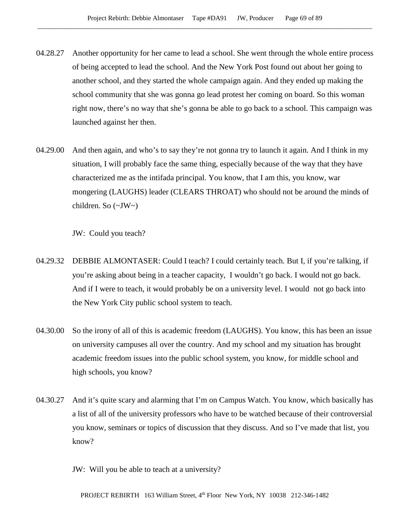- 04.28.27 Another opportunity for her came to lead a school. She went through the whole entire process of being accepted to lead the school. And the New York Post found out about her going to another school, and they started the whole campaign again. And they ended up making the school community that she was gonna go lead protest her coming on board. So this woman right now, there's no way that she's gonna be able to go back to a school. This campaign was launched against her then.
- 04.29.00 And then again, and who's to say they're not gonna try to launch it again. And I think in my situation, I will probably face the same thing, especially because of the way that they have characterized me as the intifada principal. You know, that I am this, you know, war mongering (LAUGHS) leader (CLEARS THROAT) who should not be around the minds of children. So (~JW~)

JW: Could you teach?

- 04.29.32 DEBBIE ALMONTASER: Could I teach? I could certainly teach. But I, if you're talking, if you're asking about being in a teacher capacity, I wouldn't go back. I would not go back. And if I were to teach, it would probably be on a university level. I would not go back into the New York City public school system to teach.
- 04.30.00 So the irony of all of this is academic freedom (LAUGHS). You know, this has been an issue on university campuses all over the country. And my school and my situation has brought academic freedom issues into the public school system, you know, for middle school and high schools, you know?
- 04.30.27 And it's quite scary and alarming that I'm on Campus Watch. You know, which basically has a list of all of the university professors who have to be watched because of their controversial you know, seminars or topics of discussion that they discuss. And so I've made that list, you know?

JW: Will you be able to teach at a university?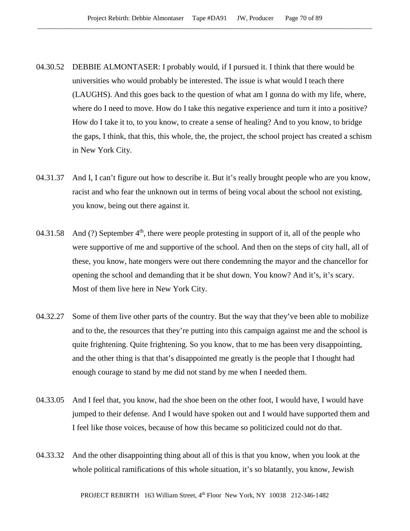- 04.30.52 DEBBIE ALMONTASER: I probably would, if I pursued it. I think that there would be universities who would probably be interested. The issue is what would I teach there (LAUGHS). And this goes back to the question of what am I gonna do with my life, where, where do I need to move. How do I take this negative experience and turn it into a positive? How do I take it to, to you know, to create a sense of healing? And to you know, to bridge the gaps, I think, that this, this whole, the, the project, the school project has created a schism in New York City.
- 04.31.37 And I, I can't figure out how to describe it. But it's really brought people who are you know, racist and who fear the unknown out in terms of being vocal about the school not existing, you know, being out there against it.
- 04.31.58 And (?) September  $4<sup>th</sup>$ , there were people protesting in support of it, all of the people who were supportive of me and supportive of the school. And then on the steps of city hall, all of these, you know, hate mongers were out there condemning the mayor and the chancellor for opening the school and demanding that it be shut down. You know? And it's, it's scary. Most of them live here in New York City.
- 04.32.27 Some of them live other parts of the country. But the way that they've been able to mobilize and to the, the resources that they're putting into this campaign against me and the school is quite frightening. Quite frightening. So you know, that to me has been very disappointing, and the other thing is that that's disappointed me greatly is the people that I thought had enough courage to stand by me did not stand by me when I needed them.
- 04.33.05 And I feel that, you know, had the shoe been on the other foot, I would have, I would have jumped to their defense. And I would have spoken out and I would have supported them and I feel like those voices, because of how this became so politicized could not do that.
- 04.33.32 And the other disappointing thing about all of this is that you know, when you look at the whole political ramifications of this whole situation, it's so blatantly, you know, Jewish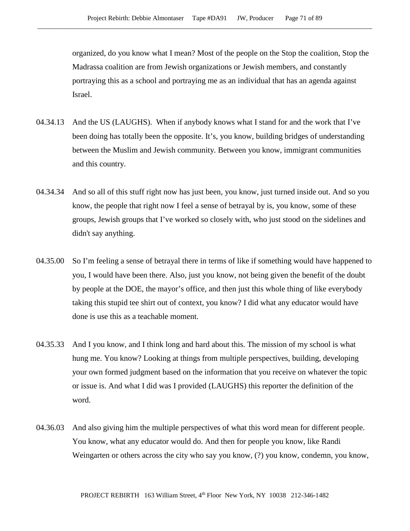organized, do you know what I mean? Most of the people on the Stop the coalition, Stop the Madrassa coalition are from Jewish organizations or Jewish members, and constantly portraying this as a school and portraying me as an individual that has an agenda against Israel.

- 04.34.13 And the US (LAUGHS). When if anybody knows what I stand for and the work that I've been doing has totally been the opposite. It's, you know, building bridges of understanding between the Muslim and Jewish community. Between you know, immigrant communities and this country.
- 04.34.34 And so all of this stuff right now has just been, you know, just turned inside out. And so you know, the people that right now I feel a sense of betrayal by is, you know, some of these groups, Jewish groups that I've worked so closely with, who just stood on the sidelines and didn't say anything.
- 04.35.00 So I'm feeling a sense of betrayal there in terms of like if something would have happened to you, I would have been there. Also, just you know, not being given the benefit of the doubt by people at the DOE, the mayor's office, and then just this whole thing of like everybody taking this stupid tee shirt out of context, you know? I did what any educator would have done is use this as a teachable moment.
- 04.35.33 And I you know, and I think long and hard about this. The mission of my school is what hung me. You know? Looking at things from multiple perspectives, building, developing your own formed judgment based on the information that you receive on whatever the topic or issue is. And what I did was I provided (LAUGHS) this reporter the definition of the word.
- 04.36.03 And also giving him the multiple perspectives of what this word mean for different people. You know, what any educator would do. And then for people you know, like Randi Weingarten or others across the city who say you know, (?) you know, condemn, you know,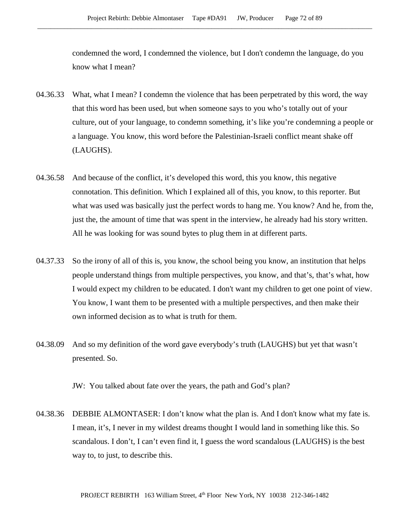condemned the word, I condemned the violence, but I don't condemn the language, do you know what I mean?

- 04.36.33 What, what I mean? I condemn the violence that has been perpetrated by this word, the way that this word has been used, but when someone says to you who's totally out of your culture, out of your language, to condemn something, it's like you're condemning a people or a language. You know, this word before the Palestinian-Israeli conflict meant shake off (LAUGHS).
- 04.36.58 And because of the conflict, it's developed this word, this you know, this negative connotation. This definition. Which I explained all of this, you know, to this reporter. But what was used was basically just the perfect words to hang me. You know? And he, from the, just the, the amount of time that was spent in the interview, he already had his story written. All he was looking for was sound bytes to plug them in at different parts.
- 04.37.33 So the irony of all of this is, you know, the school being you know, an institution that helps people understand things from multiple perspectives, you know, and that's, that's what, how I would expect my children to be educated. I don't want my children to get one point of view. You know, I want them to be presented with a multiple perspectives, and then make their own informed decision as to what is truth for them.
- 04.38.09 And so my definition of the word gave everybody's truth (LAUGHS) but yet that wasn't presented. So.

JW: You talked about fate over the years, the path and God's plan?

04.38.36 DEBBIE ALMONTASER: I don't know what the plan is. And I don't know what my fate is. I mean, it's, I never in my wildest dreams thought I would land in something like this. So scandalous. I don't, I can't even find it, I guess the word scandalous (LAUGHS) is the best way to, to just, to describe this.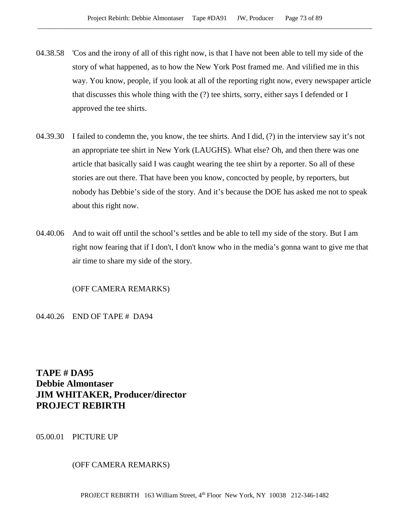- 04.38.58 'Cos and the irony of all of this right now, is that I have not been able to tell my side of the story of what happened, as to how the New York Post framed me. And vilified me in this way. You know, people, if you look at all of the reporting right now, every newspaper article that discusses this whole thing with the (?) tee shirts, sorry, either says I defended or I approved the tee shirts.
- 04.39.30 I failed to condemn the, you know, the tee shirts. And I did, (?) in the interview say it's not an appropriate tee shirt in New York (LAUGHS). What else? Oh, and then there was one article that basically said I was caught wearing the tee shirt by a reporter. So all of these stories are out there. That have been you know, concocted by people, by reporters, but nobody has Debbie's side of the story. And it's because the DOE has asked me not to speak about this right now.
- 04.40.06 And to wait off until the school's settles and be able to tell my side of the story. But I am right now fearing that if I don't, I don't know who in the media's gonna want to give me that air time to share my side of the story.

# (OFF CAMERA REMARKS)

## 04.40.26 END OF TAPE # DA94

**TAPE # DA95 Debbie Almontaser JIM WHITAKER, Producer/director PROJECT REBIRTH**

05.00.01 PICTURE UP

# (OFF CAMERA REMARKS)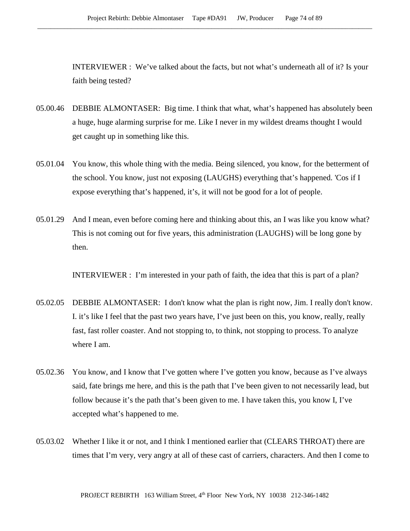INTERVIEWER : We've talked about the facts, but not what's underneath all of it? Is your faith being tested?

- 05.00.46 DEBBIE ALMONTASER: Big time. I think that what, what's happened has absolutely been a huge, huge alarming surprise for me. Like I never in my wildest dreams thought I would get caught up in something like this.
- 05.01.04 You know, this whole thing with the media. Being silenced, you know, for the betterment of the school. You know, just not exposing (LAUGHS) everything that's happened. 'Cos if I expose everything that's happened, it's, it will not be good for a lot of people.
- 05.01.29 And I mean, even before coming here and thinking about this, an I was like you know what? This is not coming out for five years, this administration (LAUGHS) will be long gone by then.

INTERVIEWER : I'm interested in your path of faith, the idea that this is part of a plan?

- 05.02.05 DEBBIE ALMONTASER: I don't know what the plan is right now, Jim. I really don't know. I. it's like I feel that the past two years have, I've just been on this, you know, really, really fast, fast roller coaster. And not stopping to, to think, not stopping to process. To analyze where I am.
- 05.02.36 You know, and I know that I've gotten where I've gotten you know, because as I've always said, fate brings me here, and this is the path that I've been given to not necessarily lead, but follow because it's the path that's been given to me. I have taken this, you know I, I've accepted what's happened to me.
- 05.03.02 Whether I like it or not, and I think I mentioned earlier that (CLEARS THROAT) there are times that I'm very, very angry at all of these cast of carriers, characters. And then I come to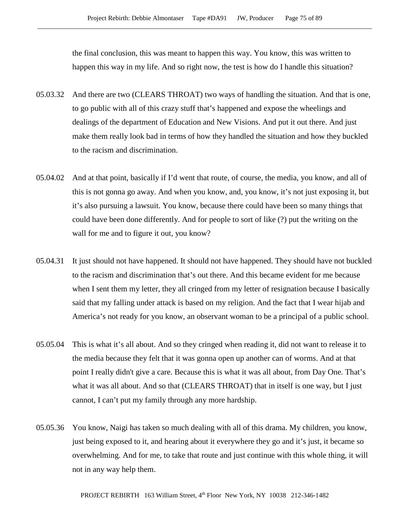the final conclusion, this was meant to happen this way. You know, this was written to happen this way in my life. And so right now, the test is how do I handle this situation?

- 05.03.32 And there are two (CLEARS THROAT) two ways of handling the situation. And that is one, to go public with all of this crazy stuff that's happened and expose the wheelings and dealings of the department of Education and New Visions. And put it out there. And just make them really look bad in terms of how they handled the situation and how they buckled to the racism and discrimination.
- 05.04.02 And at that point, basically if I'd went that route, of course, the media, you know, and all of this is not gonna go away. And when you know, and, you know, it's not just exposing it, but it's also pursuing a lawsuit. You know, because there could have been so many things that could have been done differently. And for people to sort of like (?) put the writing on the wall for me and to figure it out, you know?
- 05.04.31 It just should not have happened. It should not have happened. They should have not buckled to the racism and discrimination that's out there. And this became evident for me because when I sent them my letter, they all cringed from my letter of resignation because I basically said that my falling under attack is based on my religion. And the fact that I wear hijab and America's not ready for you know, an observant woman to be a principal of a public school.
- 05.05.04 This is what it's all about. And so they cringed when reading it, did not want to release it to the media because they felt that it was gonna open up another can of worms. And at that point I really didn't give a care. Because this is what it was all about, from Day One. That's what it was all about. And so that (CLEARS THROAT) that in itself is one way, but I just cannot, I can't put my family through any more hardship.
- 05.05.36 You know, Naigi has taken so much dealing with all of this drama. My children, you know, just being exposed to it, and hearing about it everywhere they go and it's just, it became so overwhelming. And for me, to take that route and just continue with this whole thing, it will not in any way help them.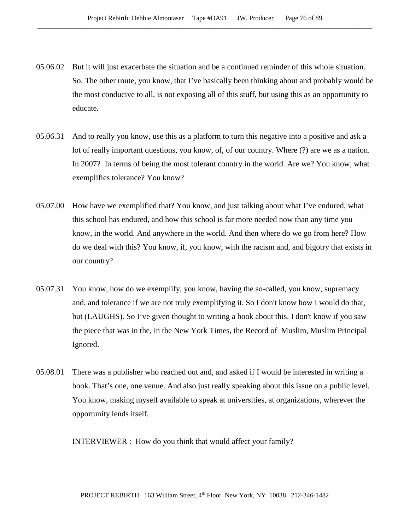- 05.06.02 But it will just exacerbate the situation and be a continued reminder of this whole situation. So. The other route, you know, that I've basically been thinking about and probably would be the most conducive to all, is not exposing all of this stuff, but using this as an opportunity to educate.
- 05.06.31 And to really you know, use this as a platform to turn this negative into a positive and ask a lot of really important questions, you know, of, of our country. Where (?) are we as a nation. In 2007? In terms of being the most tolerant country in the world. Are we? You know, what exemplifies tolerance? You know?
- 05.07.00 How have we exemplified that? You know, and just talking about what I've endured, what this school has endured, and how this school is far more needed now than any time you know, in the world. And anywhere in the world. And then where do we go from here? How do we deal with this? You know, if, you know, with the racism and, and bigotry that exists in our country?
- 05.07.31 You know, how do we exemplify, you know, having the so-called, you know, supremacy and, and tolerance if we are not truly exemplifying it. So I don't know how I would do that, but (LAUGHS). So I've given thought to writing a book about this. I don't know if you saw the piece that was in the, in the New York Times, the Record of Muslim, Muslim Principal Ignored.
- 05.08.01 There was a publisher who reached out and, and asked if I would be interested in writing a book. That's one, one venue. And also just really speaking about this issue on a public level. You know, making myself available to speak at universities, at organizations, wherever the opportunity lends itself.

INTERVIEWER : How do you think that would affect your family?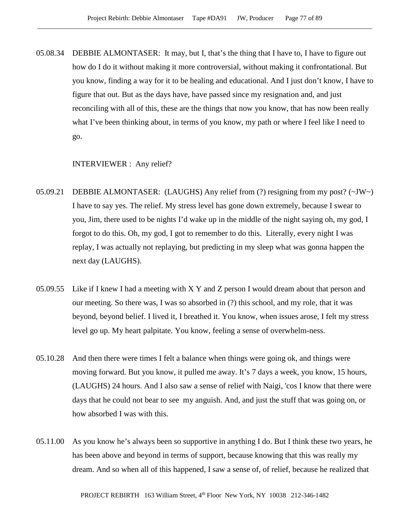05.08.34 DEBBIE ALMONTASER: It may, but I, that's the thing that I have to, I have to figure out how do I do it without making it more controversial, without making it confrontational. But you know, finding a way for it to be healing and educational. And I just don't know, I have to figure that out. But as the days have, have passed since my resignation and, and just reconciling with all of this, these are the things that now you know, that has now been really what I've been thinking about, in terms of you know, my path or where I feel like I need to go.

#### INTERVIEWER : Any relief?

- 05.09.21 DEBBIE ALMONTASER: (LAUGHS) Any relief from (?) resigning from my post? (~JW~) I have to say yes. The relief. My stress level has gone down extremely, because I swear to you, Jim, there used to be nights I'd wake up in the middle of the night saying oh, my god, I forgot to do this. Oh, my god, I got to remember to do this. Literally, every night I was replay, I was actually not replaying, but predicting in my sleep what was gonna happen the next day (LAUGHS).
- 05.09.55 Like if I knew I had a meeting with X Y and Z person I would dream about that person and our meeting. So there was, I was so absorbed in (?) this school, and my role, that it was beyond, beyond belief. I lived it, I breathed it. You know, when issues arose, I felt my stress level go up. My heart palpitate. You know, feeling a sense of overwhelm-ness.
- 05.10.28 And then there were times I felt a balance when things were going ok, and things were moving forward. But you know, it pulled me away. It's 7 days a week, you know, 15 hours, (LAUGHS) 24 hours. And I also saw a sense of relief with Naigi, 'cos I know that there were days that he could not bear to see my anguish. And, and just the stuff that was going on, or how absorbed I was with this.
- 05.11.00 As you know he's always been so supportive in anything I do. But I think these two years, he has been above and beyond in terms of support, because knowing that this was really my dream. And so when all of this happened, I saw a sense of, of relief, because he realized that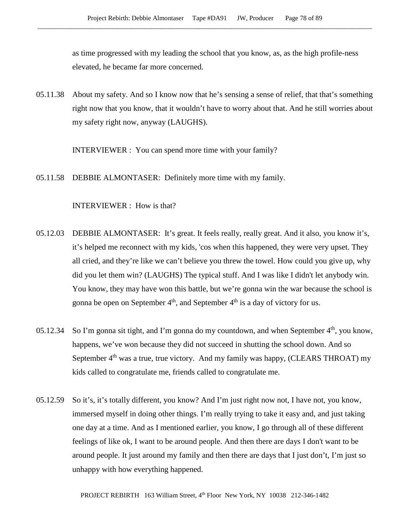as time progressed with my leading the school that you know, as, as the high profile-ness elevated, he became far more concerned.

05.11.38 About my safety. And so I know now that he's sensing a sense of relief, that that's something right now that you know, that it wouldn't have to worry about that. And he still worries about my safety right now, anyway (LAUGHS).

INTERVIEWER : You can spend more time with your family?

05.11.58 DEBBIE ALMONTASER: Definitely more time with my family.

### INTERVIEWER : How is that?

- 05.12.03 DEBBIE ALMONTASER: It's great. It feels really, really great. And it also, you know it's, it's helped me reconnect with my kids, 'cos when this happened, they were very upset. They all cried, and they're like we can't believe you threw the towel. How could you give up, why did you let them win? (LAUGHS) The typical stuff. And I was like I didn't let anybody win. You know, they may have won this battle, but we're gonna win the war because the school is gonna be open on September  $4<sup>th</sup>$ , and September  $4<sup>th</sup>$  is a day of victory for us.
- 05.12.34 So I'm gonna sit tight, and I'm gonna do my countdown, and when September  $4<sup>th</sup>$ , you know, happens, we've won because they did not succeed in shutting the school down. And so September 4<sup>th</sup> was a true, true victory. And my family was happy, (CLEARS THROAT) my kids called to congratulate me, friends called to congratulate me.
- 05.12.59 So it's, it's totally different, you know? And I'm just right now not, I have not, you know, immersed myself in doing other things. I'm really trying to take it easy and, and just taking one day at a time. And as I mentioned earlier, you know, I go through all of these different feelings of like ok, I want to be around people. And then there are days I don't want to be around people. It just around my family and then there are days that I just don't, I'm just so unhappy with how everything happened.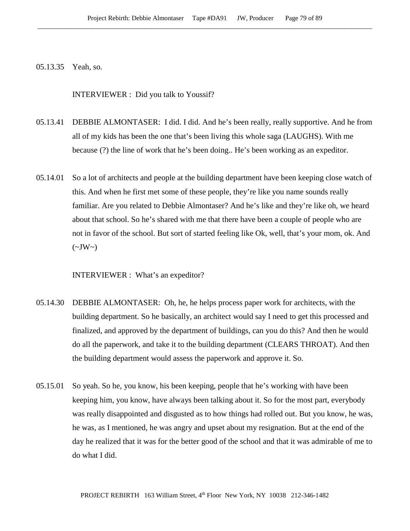05.13.35 Yeah, so.

INTERVIEWER : Did you talk to Youssif?

- 05.13.41 DEBBIE ALMONTASER: I did. I did. And he's been really, really supportive. And he from all of my kids has been the one that's been living this whole saga (LAUGHS). With me because (?) the line of work that he's been doing.. He's been working as an expeditor.
- 05.14.01 So a lot of architects and people at the building department have been keeping close watch of this. And when he first met some of these people, they're like you name sounds really familiar. Are you related to Debbie Almontaser? And he's like and they're like oh, we heard about that school. So he's shared with me that there have been a couple of people who are not in favor of the school. But sort of started feeling like Ok, well, that's your mom, ok. And  $(\sim JW \sim)$

INTERVIEWER : What's an expeditor?

- 05.14.30 DEBBIE ALMONTASER: Oh, he, he helps process paper work for architects, with the building department. So he basically, an architect would say I need to get this processed and finalized, and approved by the department of buildings, can you do this? And then he would do all the paperwork, and take it to the building department (CLEARS THROAT). And then the building department would assess the paperwork and approve it. So.
- 05.15.01 So yeah. So he, you know, his been keeping, people that he's working with have been keeping him, you know, have always been talking about it. So for the most part, everybody was really disappointed and disgusted as to how things had rolled out. But you know, he was, he was, as I mentioned, he was angry and upset about my resignation. But at the end of the day he realized that it was for the better good of the school and that it was admirable of me to do what I did.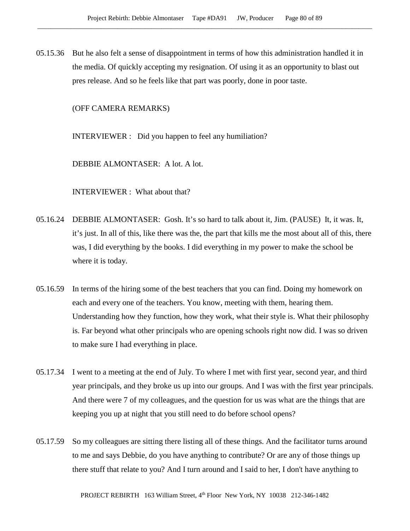05.15.36 But he also felt a sense of disappointment in terms of how this administration handled it in the media. Of quickly accepting my resignation. Of using it as an opportunity to blast out pres release. And so he feels like that part was poorly, done in poor taste.

(OFF CAMERA REMARKS)

INTERVIEWER : Did you happen to feel any humiliation?

DEBBIE ALMONTASER: A lot. A lot.

INTERVIEWER : What about that?

- 05.16.24 DEBBIE ALMONTASER: Gosh. It's so hard to talk about it, Jim. (PAUSE) It, it was. It, it's just. In all of this, like there was the, the part that kills me the most about all of this, there was, I did everything by the books. I did everything in my power to make the school be where it is today.
- 05.16.59 In terms of the hiring some of the best teachers that you can find. Doing my homework on each and every one of the teachers. You know, meeting with them, hearing them. Understanding how they function, how they work, what their style is. What their philosophy is. Far beyond what other principals who are opening schools right now did. I was so driven to make sure I had everything in place.
- 05.17.34 I went to a meeting at the end of July. To where I met with first year, second year, and third year principals, and they broke us up into our groups. And I was with the first year principals. And there were 7 of my colleagues, and the question for us was what are the things that are keeping you up at night that you still need to do before school opens?
- 05.17.59 So my colleagues are sitting there listing all of these things. And the facilitator turns around to me and says Debbie, do you have anything to contribute? Or are any of those things up there stuff that relate to you? And I turn around and I said to her, I don't have anything to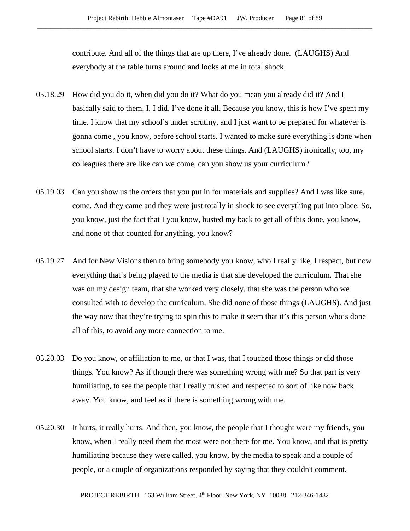contribute. And all of the things that are up there, I've already done. (LAUGHS) And everybody at the table turns around and looks at me in total shock.

- 05.18.29 How did you do it, when did you do it? What do you mean you already did it? And I basically said to them, I, I did. I've done it all. Because you know, this is how I've spent my time. I know that my school's under scrutiny, and I just want to be prepared for whatever is gonna come , you know, before school starts. I wanted to make sure everything is done when school starts. I don't have to worry about these things. And (LAUGHS) ironically, too, my colleagues there are like can we come, can you show us your curriculum?
- 05.19.03 Can you show us the orders that you put in for materials and supplies? And I was like sure, come. And they came and they were just totally in shock to see everything put into place. So, you know, just the fact that I you know, busted my back to get all of this done, you know, and none of that counted for anything, you know?
- 05.19.27 And for New Visions then to bring somebody you know, who I really like, I respect, but now everything that's being played to the media is that she developed the curriculum. That she was on my design team, that she worked very closely, that she was the person who we consulted with to develop the curriculum. She did none of those things (LAUGHS). And just the way now that they're trying to spin this to make it seem that it's this person who's done all of this, to avoid any more connection to me.
- 05.20.03 Do you know, or affiliation to me, or that I was, that I touched those things or did those things. You know? As if though there was something wrong with me? So that part is very humiliating, to see the people that I really trusted and respected to sort of like now back away. You know, and feel as if there is something wrong with me.
- 05.20.30 It hurts, it really hurts. And then, you know, the people that I thought were my friends, you know, when I really need them the most were not there for me. You know, and that is pretty humiliating because they were called, you know, by the media to speak and a couple of people, or a couple of organizations responded by saying that they couldn't comment.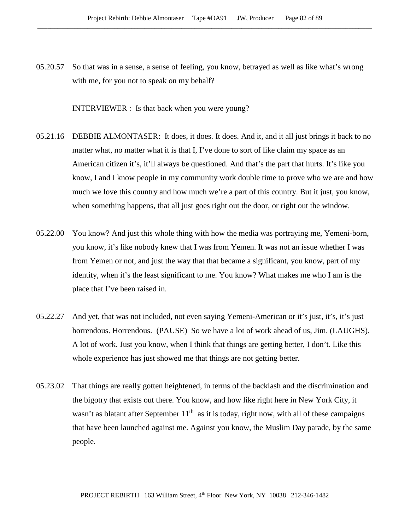05.20.57 So that was in a sense, a sense of feeling, you know, betrayed as well as like what's wrong with me, for you not to speak on my behalf?

INTERVIEWER : Is that back when you were young?

- 05.21.16 DEBBIE ALMONTASER: It does, it does. It does. And it, and it all just brings it back to no matter what, no matter what it is that I, I've done to sort of like claim my space as an American citizen it's, it'll always be questioned. And that's the part that hurts. It's like you know, I and I know people in my community work double time to prove who we are and how much we love this country and how much we're a part of this country. But it just, you know, when something happens, that all just goes right out the door, or right out the window.
- 05.22.00 You know? And just this whole thing with how the media was portraying me, Yemeni-born, you know, it's like nobody knew that I was from Yemen. It was not an issue whether I was from Yemen or not, and just the way that that became a significant, you know, part of my identity, when it's the least significant to me. You know? What makes me who I am is the place that I've been raised in.
- 05.22.27 And yet, that was not included, not even saying Yemeni-American or it's just, it's, it's just horrendous. Horrendous. (PAUSE) So we have a lot of work ahead of us, Jim. (LAUGHS). A lot of work. Just you know, when I think that things are getting better, I don't. Like this whole experience has just showed me that things are not getting better.
- 05.23.02 That things are really gotten heightened, in terms of the backlash and the discrimination and the bigotry that exists out there. You know, and how like right here in New York City, it wasn't as blatant after September  $11<sup>th</sup>$  as it is today, right now, with all of these campaigns that have been launched against me. Against you know, the Muslim Day parade, by the same people.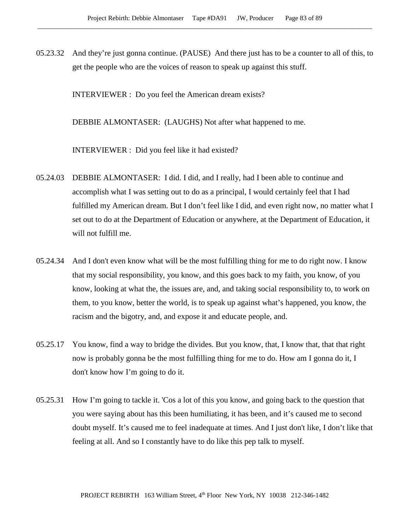05.23.32 And they're just gonna continue. (PAUSE) And there just has to be a counter to all of this, to get the people who are the voices of reason to speak up against this stuff.

INTERVIEWER : Do you feel the American dream exists?

DEBBIE ALMONTASER: (LAUGHS) Not after what happened to me.

INTERVIEWER : Did you feel like it had existed?

- 05.24.03 DEBBIE ALMONTASER: I did. I did, and I really, had I been able to continue and accomplish what I was setting out to do as a principal, I would certainly feel that I had fulfilled my American dream. But I don't feel like I did, and even right now, no matter what I set out to do at the Department of Education or anywhere, at the Department of Education, it will not fulfill me.
- 05.24.34 And I don't even know what will be the most fulfilling thing for me to do right now. I know that my social responsibility, you know, and this goes back to my faith, you know, of you know, looking at what the, the issues are, and, and taking social responsibility to, to work on them, to you know, better the world, is to speak up against what's happened, you know, the racism and the bigotry, and, and expose it and educate people, and.
- 05.25.17 You know, find a way to bridge the divides. But you know, that, I know that, that that right now is probably gonna be the most fulfilling thing for me to do. How am I gonna do it, I don't know how I'm going to do it.
- 05.25.31 How I'm going to tackle it. 'Cos a lot of this you know, and going back to the question that you were saying about has this been humiliating, it has been, and it's caused me to second doubt myself. It's caused me to feel inadequate at times. And I just don't like, I don't like that feeling at all. And so I constantly have to do like this pep talk to myself.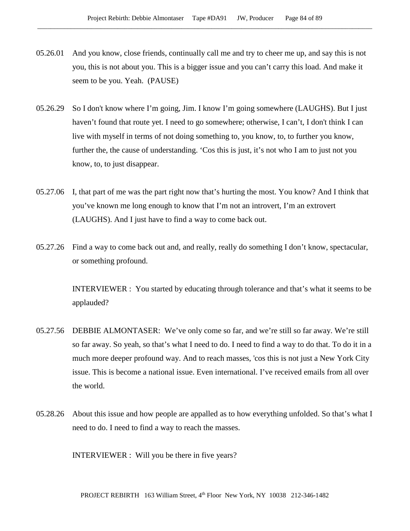- 05.26.01 And you know, close friends, continually call me and try to cheer me up, and say this is not you, this is not about you. This is a bigger issue and you can't carry this load. And make it seem to be you. Yeah. (PAUSE)
- 05.26.29 So I don't know where I'm going, Jim. I know I'm going somewhere (LAUGHS). But I just haven't found that route yet. I need to go somewhere; otherwise, I can't, I don't think I can live with myself in terms of not doing something to, you know, to, to further you know, further the, the cause of understanding. 'Cos this is just, it's not who I am to just not you know, to, to just disappear.
- 05.27.06 I, that part of me was the part right now that's hurting the most. You know? And I think that you've known me long enough to know that I'm not an introvert, I'm an extrovert (LAUGHS). And I just have to find a way to come back out.
- 05.27.26 Find a way to come back out and, and really, really do something I don't know, spectacular, or something profound.

INTERVIEWER : You started by educating through tolerance and that's what it seems to be applauded?

- 05.27.56 DEBBIE ALMONTASER: We've only come so far, and we're still so far away. We're still so far away. So yeah, so that's what I need to do. I need to find a way to do that. To do it in a much more deeper profound way. And to reach masses, 'cos this is not just a New York City issue. This is become a national issue. Even international. I've received emails from all over the world.
- 05.28.26 About this issue and how people are appalled as to how everything unfolded. So that's what I need to do. I need to find a way to reach the masses.

INTERVIEWER : Will you be there in five years?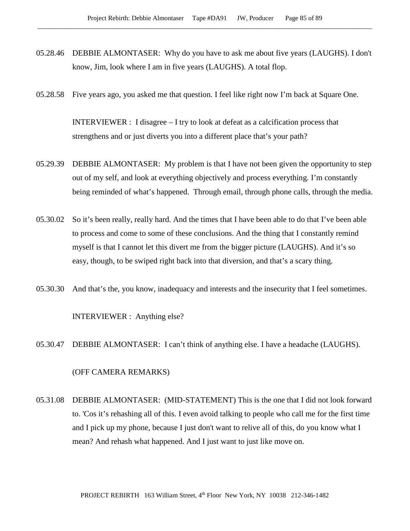- 05.28.46 DEBBIE ALMONTASER: Why do you have to ask me about five years (LAUGHS). I don't know, Jim, look where I am in five years (LAUGHS). A total flop.
- 05.28.58 Five years ago, you asked me that question. I feel like right now I'm back at Square One.

INTERVIEWER : I disagree – I try to look at defeat as a calcification process that strengthens and or just diverts you into a different place that's your path?

- 05.29.39 DEBBIE ALMONTASER: My problem is that I have not been given the opportunity to step out of my self, and look at everything objectively and process everything. I'm constantly being reminded of what's happened. Through email, through phone calls, through the media.
- 05.30.02 So it's been really, really hard. And the times that I have been able to do that I've been able to process and come to some of these conclusions. And the thing that I constantly remind myself is that I cannot let this divert me from the bigger picture (LAUGHS). And it's so easy, though, to be swiped right back into that diversion, and that's a scary thing.
- 05.30.30 And that's the, you know, inadequacy and interests and the insecurity that I feel sometimes.

### INTERVIEWER : Anything else?

05.30.47 DEBBIE ALMONTASER: I can't think of anything else. I have a headache (LAUGHS).

## (OFF CAMERA REMARKS)

05.31.08 DEBBIE ALMONTASER: (MID-STATEMENT) This is the one that I did not look forward to. 'Cos it's rehashing all of this. I even avoid talking to people who call me for the first time and I pick up my phone, because I just don't want to relive all of this, do you know what I mean? And rehash what happened. And I just want to just like move on.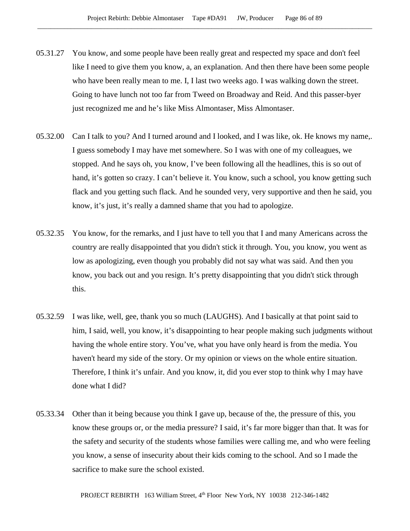- 05.31.27 You know, and some people have been really great and respected my space and don't feel like I need to give them you know, a, an explanation. And then there have been some people who have been really mean to me. I, I last two weeks ago. I was walking down the street. Going to have lunch not too far from Tweed on Broadway and Reid. And this passer-byer just recognized me and he's like Miss Almontaser, Miss Almontaser.
- 05.32.00 Can I talk to you? And I turned around and I looked, and I was like, ok. He knows my name,. I guess somebody I may have met somewhere. So I was with one of my colleagues, we stopped. And he says oh, you know, I've been following all the headlines, this is so out of hand, it's gotten so crazy. I can't believe it. You know, such a school, you know getting such flack and you getting such flack. And he sounded very, very supportive and then he said, you know, it's just, it's really a damned shame that you had to apologize.
- 05.32.35 You know, for the remarks, and I just have to tell you that I and many Americans across the country are really disappointed that you didn't stick it through. You, you know, you went as low as apologizing, even though you probably did not say what was said. And then you know, you back out and you resign. It's pretty disappointing that you didn't stick through this.
- 05.32.59 I was like, well, gee, thank you so much (LAUGHS). And I basically at that point said to him, I said, well, you know, it's disappointing to hear people making such judgments without having the whole entire story. You've, what you have only heard is from the media. You haven't heard my side of the story. Or my opinion or views on the whole entire situation. Therefore, I think it's unfair. And you know, it, did you ever stop to think why I may have done what I did?
- 05.33.34 Other than it being because you think I gave up, because of the, the pressure of this, you know these groups or, or the media pressure? I said, it's far more bigger than that. It was for the safety and security of the students whose families were calling me, and who were feeling you know, a sense of insecurity about their kids coming to the school. And so I made the sacrifice to make sure the school existed.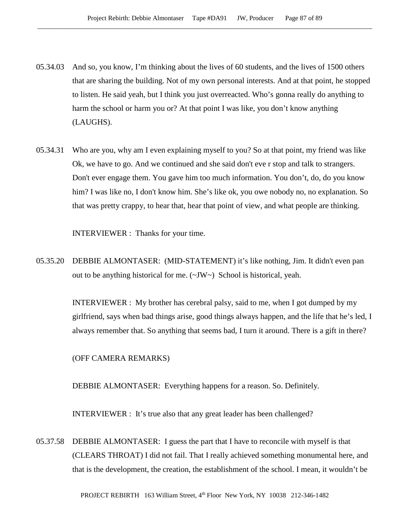- 05.34.03 And so, you know, I'm thinking about the lives of 60 students, and the lives of 1500 others that are sharing the building. Not of my own personal interests. And at that point, he stopped to listen. He said yeah, but I think you just overreacted. Who's gonna really do anything to harm the school or harm you or? At that point I was like, you don't know anything (LAUGHS).
- 05.34.31 Who are you, why am I even explaining myself to you? So at that point, my friend was like Ok, we have to go. And we continued and she said don't eve r stop and talk to strangers. Don't ever engage them. You gave him too much information. You don't, do, do you know him? I was like no, I don't know him. She's like ok, you owe nobody no, no explanation. So that was pretty crappy, to hear that, hear that point of view, and what people are thinking.

INTERVIEWER : Thanks for your time.

05.35.20 DEBBIE ALMONTASER: (MID-STATEMENT) it's like nothing, Jim. It didn't even pan out to be anything historical for me. (~JW~) School is historical, yeah.

> INTERVIEWER : My brother has cerebral palsy, said to me, when I got dumped by my girlfriend, says when bad things arise, good things always happen, and the life that he's led, I always remember that. So anything that seems bad, I turn it around. There is a gift in there?

(OFF CAMERA REMARKS)

DEBBIE ALMONTASER: Everything happens for a reason. So. Definitely.

INTERVIEWER : It's true also that any great leader has been challenged?

05.37.58 DEBBIE ALMONTASER: I guess the part that I have to reconcile with myself is that (CLEARS THROAT) I did not fail. That I really achieved something monumental here, and that is the development, the creation, the establishment of the school. I mean, it wouldn't be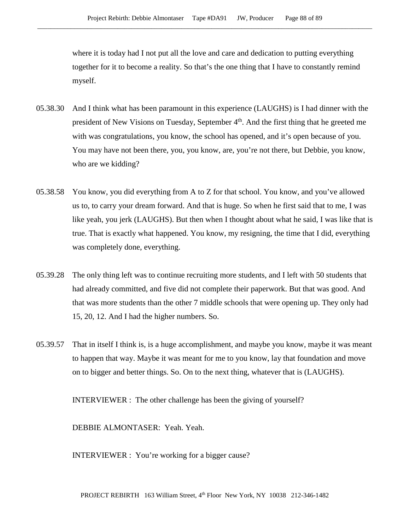where it is today had I not put all the love and care and dedication to putting everything together for it to become a reality. So that's the one thing that I have to constantly remind myself.

- 05.38.30 And I think what has been paramount in this experience (LAUGHS) is I had dinner with the president of New Visions on Tuesday, September 4<sup>th</sup>. And the first thing that he greeted me with was congratulations, you know, the school has opened, and it's open because of you. You may have not been there, you, you know, are, you're not there, but Debbie, you know, who are we kidding?
- 05.38.58 You know, you did everything from A to Z for that school. You know, and you've allowed us to, to carry your dream forward. And that is huge. So when he first said that to me, I was like yeah, you jerk (LAUGHS). But then when I thought about what he said, I was like that is true. That is exactly what happened. You know, my resigning, the time that I did, everything was completely done, everything.
- 05.39.28 The only thing left was to continue recruiting more students, and I left with 50 students that had already committed, and five did not complete their paperwork. But that was good. And that was more students than the other 7 middle schools that were opening up. They only had 15, 20, 12. And I had the higher numbers. So.
- 05.39.57 That in itself I think is, is a huge accomplishment, and maybe you know, maybe it was meant to happen that way. Maybe it was meant for me to you know, lay that foundation and move on to bigger and better things. So. On to the next thing, whatever that is (LAUGHS).

INTERVIEWER : The other challenge has been the giving of yourself?

DEBBIE ALMONTASER: Yeah. Yeah.

INTERVIEWER : You're working for a bigger cause?